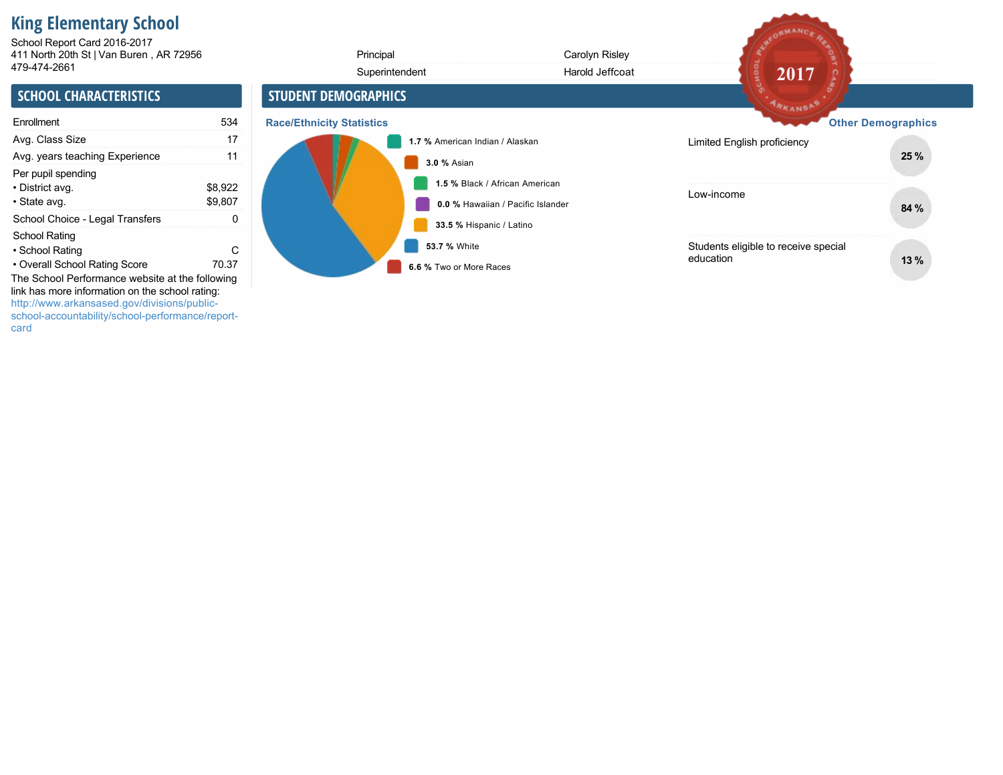# **King Elementary School**

411 North 20th St | Van Buren , AR 72956 School Report Card 2016-2017

| 411 North 20th St   Van Buren, AR 72956                                                                                                                                                               |                    | Principal                        |                                         | Carolyn Risley                                                      |                                                   |                           |
|-------------------------------------------------------------------------------------------------------------------------------------------------------------------------------------------------------|--------------------|----------------------------------|-----------------------------------------|---------------------------------------------------------------------|---------------------------------------------------|---------------------------|
| 479-474-2661                                                                                                                                                                                          |                    |                                  | Superintendent                          | Harold Jeffcoat                                                     | 2017                                              |                           |
| <b>SCHOOL CHARACTERISTICS</b>                                                                                                                                                                         |                    | <b>STUDENT DEMOGRAPHICS</b>      |                                         |                                                                     | ARKANSAS                                          |                           |
| Enrollment                                                                                                                                                                                            | 534                | <b>Race/Ethnicity Statistics</b> |                                         |                                                                     |                                                   | <b>Other Demographics</b> |
| Avg. Class Size                                                                                                                                                                                       | 17                 |                                  | 1.7 % American Indian / Alaskan         |                                                                     | Limited English proficiency                       |                           |
| Avg. years teaching Experience                                                                                                                                                                        | 11                 |                                  | <b>3.0 % Asian</b>                      |                                                                     |                                                   | 25 %                      |
| Per pupil spending<br>• District avg.<br>• State avg.                                                                                                                                                 | \$8,922<br>\$9,807 |                                  |                                         | 1.5 % Black / African American<br>0.0 % Hawaiian / Pacific Islander | Low-income                                        | 84 %                      |
| School Choice - Legal Transfers                                                                                                                                                                       | 0                  |                                  | 33.5 % Hispanic / Latino                |                                                                     |                                                   |                           |
| <b>School Rating</b><br>• School Rating<br>• Overall School Rating Score                                                                                                                              | C<br>70.37         |                                  | 53.7 % White<br>6.6 % Two or More Races |                                                                     | Students eligible to receive special<br>education | 13%                       |
| The School Performance website at the following<br>link has more information on the school rating:<br>http://www.arkansased.gov/divisions/public-<br>school-accountability/school-performance/report- |                    |                                  |                                         |                                                                     |                                                   |                           |

ARCORMANCE REA

card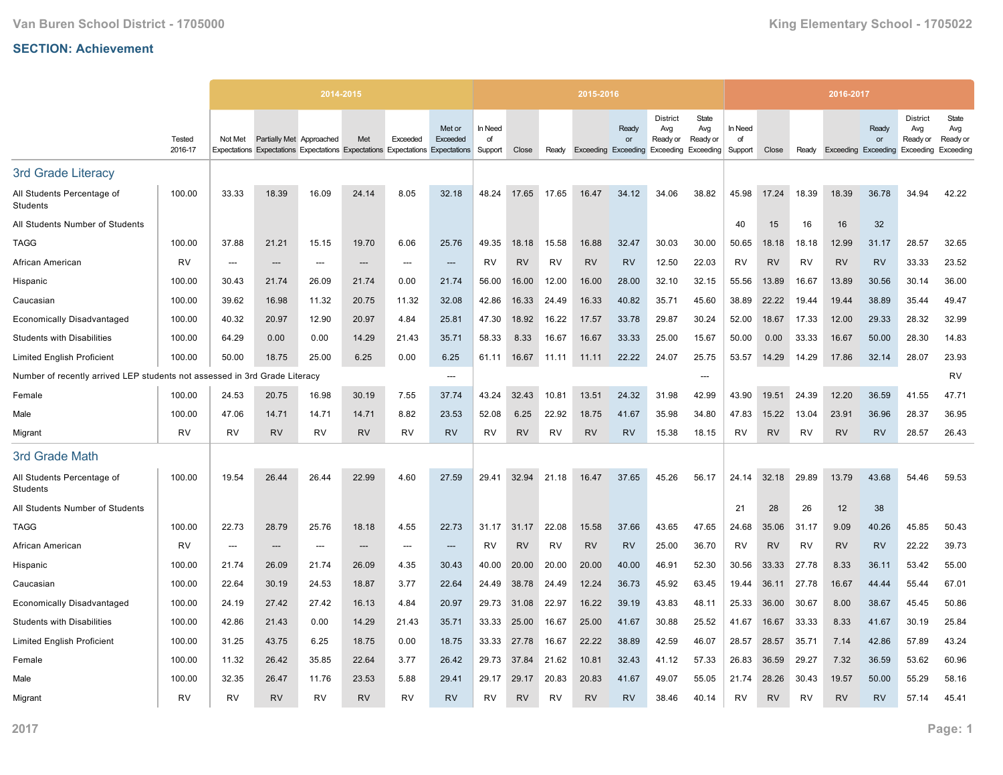|                                                             |                   |                          |                          | 2014-2015 |           |           |                                                                                                     |                          |           |           | 2015-2016 |                                                        |                                    |                          |                          |           |           | 2016-2017                  |             |                                                 |                                       |
|-------------------------------------------------------------|-------------------|--------------------------|--------------------------|-----------|-----------|-----------|-----------------------------------------------------------------------------------------------------|--------------------------|-----------|-----------|-----------|--------------------------------------------------------|------------------------------------|--------------------------|--------------------------|-----------|-----------|----------------------------|-------------|-------------------------------------------------|---------------------------------------|
|                                                             | Tested<br>2016-17 | Not Met                  | Partially Met Approached |           | Met       | Exceeded  | Met or<br>Exceeded<br>Expectations Expectations Expectations Expectations Expectations Expectations | In Need<br>of<br>Support | Close     | Ready     |           | Ready<br>or<br>Exceeding Exceeding Exceeding Exceeding | <b>District</b><br>Avg<br>Ready or | State<br>Avg<br>Ready or | In Need<br>of<br>Support | Close     | Ready     | <b>Exceeding Exceeding</b> | Ready<br>or | <b>District</b><br>Avg<br>Ready or<br>Exceeding | State<br>Avg<br>Ready or<br>Exceeding |
| <b>3rd Grade Literacy</b>                                   |                   |                          |                          |           |           |           |                                                                                                     |                          |           |           |           |                                                        |                                    |                          |                          |           |           |                            |             |                                                 |                                       |
| All Students Percentage of<br>Students                      | 100.00            | 33.33                    | 18.39                    | 16.09     | 24.14     | 8.05      | 32.18                                                                                               | 48.24                    | 17.65     | 17.65     | 16.47     | 34.12                                                  | 34.06                              | 38.82                    | 45.98                    | 17.24     | 18.39     | 18.39                      | 36.78       | 34.94                                           | 42.22                                 |
| All Students Number of Students                             |                   |                          |                          |           |           |           |                                                                                                     |                          |           |           |           |                                                        |                                    |                          | 40                       | 15        | 16        | 16                         | 32          |                                                 |                                       |
| <b>TAGG</b>                                                 | 100.00            | 37.88                    | 21.21                    | 15.15     | 19.70     | 6.06      | 25.76                                                                                               | 49.35                    | 18.18     | 15.58     | 16.88     | 32.47                                                  | 30.03                              | 30.00                    | 50.65                    | 18.18     | 18.18     | 12.99                      | 31.17       | 28.57                                           | 32.65                                 |
| African American                                            | <b>RV</b>         | $\overline{\phantom{a}}$ | ---                      | ---       | $---$     | $---$     | ---                                                                                                 | RV                       | <b>RV</b> | <b>RV</b> | <b>RV</b> | <b>RV</b>                                              | 12.50                              | 22.03                    | <b>RV</b>                | <b>RV</b> | <b>RV</b> | <b>RV</b>                  | <b>RV</b>   | 33.33                                           | 23.52                                 |
| Hispanic                                                    | 100.00            | 30.43                    | 21.74                    | 26.09     | 21.74     | 0.00      | 21.74                                                                                               | 56.00                    | 16.00     | 12.00     | 16.00     | 28.00                                                  | 32.10                              | 32.15                    | 55.56                    | 13.89     | 16.67     | 13.89                      | 30.56       | 30.14                                           | 36.00                                 |
| Caucasian                                                   | 100.00            | 39.62                    | 16.98                    | 11.32     | 20.75     | 11.32     | 32.08                                                                                               | 42.86                    | 16.33     | 24.49     | 16.33     | 40.82                                                  | 35.71                              | 45.60                    | 38.89                    | 22.22     | 19.44     | 19.44                      | 38.89       | 35.44                                           | 49.47                                 |
| <b>Economically Disadvantaged</b>                           | 100.00            | 40.32                    | 20.97                    | 12.90     | 20.97     | 4.84      | 25.81                                                                                               | 47.30                    | 18.92     | 16.22     | 17.57     | 33.78                                                  | 29.87                              | 30.24                    | 52.00                    | 18.67     | 17.33     | 12.00                      | 29.33       | 28.32                                           | 32.99                                 |
| <b>Students with Disabilities</b>                           | 100.00            | 64.29                    | 0.00                     | 0.00      | 14.29     | 21.43     | 35.71                                                                                               | 58.33                    | 8.33      | 16.67     | 16.67     | 33.33                                                  | 25.00                              | 15.67                    | 50.00                    | 0.00      | 33.33     | 16.67                      | 50.00       | 28.30                                           | 14.83                                 |
| <b>Limited English Proficient</b>                           | 100.00            | 50.00                    | 18.75                    | 25.00     | 6.25      | 0.00      | 6.25                                                                                                | 61.11                    | 16.67     | 11.11     | 11.11     | 22.22                                                  | 24.07                              | 25.75                    | 53.57                    | 14.29     | 14.29     | 17.86                      | 32.14       | 28.07                                           | 23.93                                 |
| Number of recently arrived LEP students not assessed in 3rd |                   |                          | Grade Literacy           |           |           |           | $---$                                                                                               |                          |           |           |           |                                                        |                                    | ---                      |                          |           |           |                            |             |                                                 | <b>RV</b>                             |
| Female                                                      | 100.00            | 24.53                    | 20.75                    | 16.98     | 30.19     | 7.55      | 37.74                                                                                               | 43.24                    | 32.43     | 10.81     | 13.51     | 24.32                                                  | 31.98                              | 42.99                    | 43.90                    | 19.51     | 24.39     | 12.20                      | 36.59       | 41.55                                           | 47.71                                 |
| Male                                                        | 100.00            | 47.06                    | 14.71                    | 14.71     | 14.71     | 8.82      | 23.53                                                                                               | 52.08                    | 6.25      | 22.92     | 18.75     | 41.67                                                  | 35.98                              | 34.80                    | 47.83                    | 15.22     | 13.04     | 23.91                      | 36.96       | 28.37                                           | 36.95                                 |
| Migrant                                                     | <b>RV</b>         | <b>RV</b>                | <b>RV</b>                | <b>RV</b> | <b>RV</b> | RV        | <b>RV</b>                                                                                           | RV                       | <b>RV</b> | <b>RV</b> | <b>RV</b> | <b>RV</b>                                              | 15.38                              | 18.15                    | RV                       | <b>RV</b> | <b>RV</b> | <b>RV</b>                  | <b>RV</b>   | 28.57                                           | 26.43                                 |
| 3rd Grade Math                                              |                   |                          |                          |           |           |           |                                                                                                     |                          |           |           |           |                                                        |                                    |                          |                          |           |           |                            |             |                                                 |                                       |
| All Students Percentage of<br>Students                      | 100.00            | 19.54                    | 26.44                    | 26.44     | 22.99     | 4.60      | 27.59                                                                                               | 29.41                    | 32.94     | 21.18     | 16.47     | 37.65                                                  | 45.26                              | 56.17                    | 24.14                    | 32.18     | 29.89     | 13.79                      | 43.68       | 54.46                                           | 59.53                                 |
| All Students Number of Students                             |                   |                          |                          |           |           |           |                                                                                                     |                          |           |           |           |                                                        |                                    |                          | 21                       | 28        | 26        | 12                         | 38          |                                                 |                                       |
| TAGG                                                        | 100.00            | 22.73                    | 28.79                    | 25.76     | 18.18     | 4.55      | 22.73                                                                                               | 31.17                    | 31.17     | 22.08     | 15.58     | 37.66                                                  | 43.65                              | 47.65                    | 24.68                    | 35.06     | 31.17     | 9.09                       | 40.26       | 45.85                                           | 50.43                                 |
| African American                                            | <b>RV</b>         | ---                      | ---                      | ---       | ---       | ---       | ---                                                                                                 | <b>RV</b>                | <b>RV</b> | <b>RV</b> | <b>RV</b> | <b>RV</b>                                              | 25.00                              | 36.70                    | RV                       | <b>RV</b> | <b>RV</b> | <b>RV</b>                  | <b>RV</b>   | 22.22                                           | 39.73                                 |
| Hispanic                                                    | 100.00            | 21.74                    | 26.09                    | 21.74     | 26.09     | 4.35      | 30.43                                                                                               | 40.00                    | 20.00     | 20.00     | 20.00     | 40.00                                                  | 46.91                              | 52.30                    | 30.56                    | 33.33     | 27.78     | 8.33                       | 36.11       | 53.42                                           | 55.00                                 |
| Caucasian                                                   | 100.00            | 22.64                    | 30.19                    | 24.53     | 18.87     | 3.77      | 22.64                                                                                               | 24.49                    | 38.78     | 24.49     | 12.24     | 36.73                                                  | 45.92                              | 63.45                    | 19.44                    | 36.11     | 27.78     | 16.67                      | 44.44       | 55.44                                           | 67.01                                 |
| <b>Economically Disadvantaged</b>                           | 100.00            | 24.19                    | 27.42                    | 27.42     | 16.13     | 4.84      | 20.97                                                                                               | 29.73                    | 31.08     | 22.97     | 16.22     | 39.19                                                  | 43.83                              | 48.11                    | 25.33                    | 36.00     | 30.67     | 8.00                       | 38.67       | 45.45                                           | 50.86                                 |
| <b>Students with Disabilities</b>                           | 100.00            | 42.86                    | 21.43                    | 0.00      | 14.29     | 21.43     | 35.71                                                                                               | 33.33                    | 25.00     | 16.67     | 25.00     | 41.67                                                  | 30.88                              | 25.52                    | 41.67                    | 16.67     | 33.33     | 8.33                       | 41.67       | 30.19                                           | 25.84                                 |
| <b>Limited English Proficient</b>                           | 100.00            | 31.25                    | 43.75                    | 6.25      | 18.75     | 0.00      | 18.75                                                                                               | 33.33                    | 27.78     | 16.67     | 22.22     | 38.89                                                  | 42.59                              | 46.07                    | 28.57                    | 28.57     | 35.71     | 7.14                       | 42.86       | 57.89                                           | 43.24                                 |
| Female                                                      | 100.00            | 11.32                    | 26.42                    | 35.85     | 22.64     | 3.77      | 26.42                                                                                               | 29.73                    | 37.84     | 21.62     | 10.81     | 32.43                                                  | 41.12                              | 57.33                    | 26.83                    | 36.59     | 29.27     | 7.32                       | 36.59       | 53.62                                           | 60.96                                 |
| Male                                                        | 100.00            | 32.35                    | 26.47                    | 11.76     | 23.53     | 5.88      | 29.41                                                                                               | 29.17                    | 29.17     | 20.83     | 20.83     | 41.67                                                  | 49.07                              | 55.05                    | 21.74                    | 28.26     | 30.43     | 19.57                      | 50.00       | 55.29                                           | 58.16                                 |
| Migrant                                                     | <b>RV</b>         | RV                       | <b>RV</b>                | RV        | <b>RV</b> | <b>RV</b> | <b>RV</b>                                                                                           | RV                       | <b>RV</b> | RV        | <b>RV</b> | <b>RV</b>                                              | 38.46                              | 40.14                    | RV                       | <b>RV</b> | R٧        | <b>RV</b>                  | <b>RV</b>   | 57.14                                           | 45.41                                 |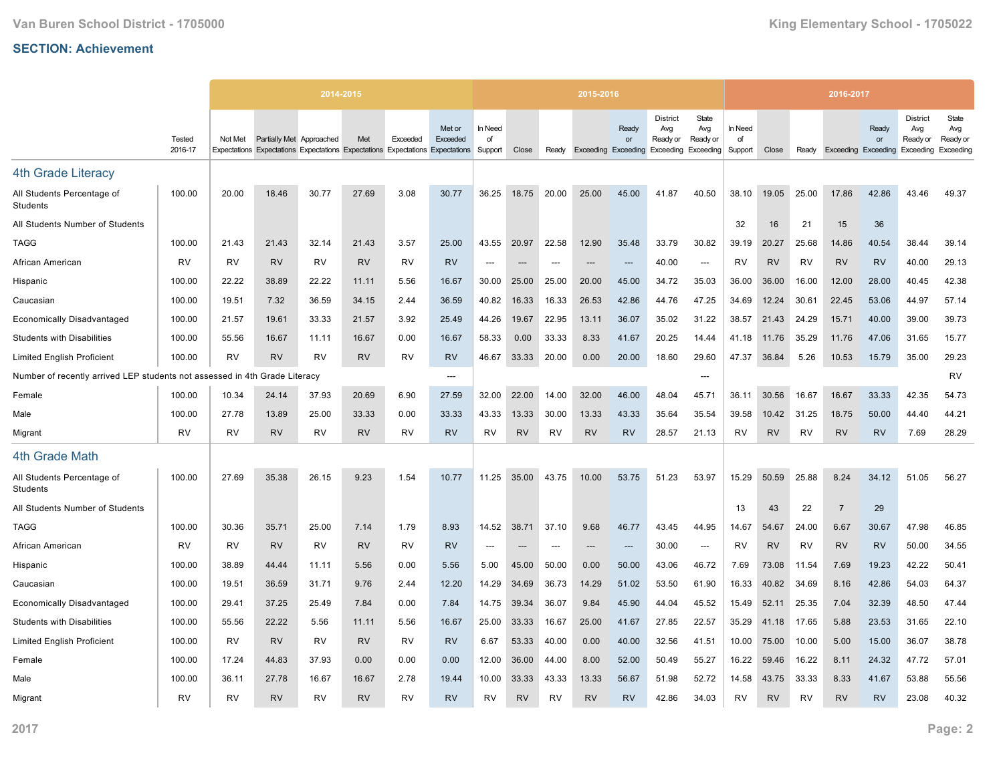|                                                             |                   |           |                          | 2014-2015 |           |           |                                                                                                     |                          |                          |                          | 2015-2016 |                                                        |                                    |                          |                          |           |           | 2016-2017                  |             |                                                 |                                       |
|-------------------------------------------------------------|-------------------|-----------|--------------------------|-----------|-----------|-----------|-----------------------------------------------------------------------------------------------------|--------------------------|--------------------------|--------------------------|-----------|--------------------------------------------------------|------------------------------------|--------------------------|--------------------------|-----------|-----------|----------------------------|-------------|-------------------------------------------------|---------------------------------------|
|                                                             | Tested<br>2016-17 | Not Met   | Partially Met Approached |           | Met       | Exceeded  | Met or<br>Exceeded<br>Expectations Expectations Expectations Expectations Expectations Expectations | In Need<br>of<br>Support | Close                    | Ready                    |           | Ready<br>or<br>Exceeding Exceeding Exceeding Exceeding | <b>District</b><br>Avg<br>Ready or | State<br>Avg<br>Ready or | In Need<br>of<br>Support | Close     | Ready     | <b>Exceeding Exceeding</b> | Ready<br>or | <b>District</b><br>Avg<br>Ready or<br>Exceeding | State<br>Avg<br>Ready or<br>Exceeding |
| <b>4th Grade Literacy</b>                                   |                   |           |                          |           |           |           |                                                                                                     |                          |                          |                          |           |                                                        |                                    |                          |                          |           |           |                            |             |                                                 |                                       |
| All Students Percentage of<br>Students                      | 100.00            | 20.00     | 18.46                    | 30.77     | 27.69     | 3.08      | 30.77                                                                                               | 36.25                    | 18.75                    | 20.00                    | 25.00     | 45.00                                                  | 41.87                              | 40.50                    | 38.10                    | 19.05     | 25.00     | 17.86                      | 42.86       | 43.46                                           | 49.37                                 |
| All Students Number of Students                             |                   |           |                          |           |           |           |                                                                                                     |                          |                          |                          |           |                                                        |                                    |                          | 32                       | 16        | 21        | 15                         | 36          |                                                 |                                       |
| <b>TAGG</b>                                                 | 100.00            | 21.43     | 21.43                    | 32.14     | 21.43     | 3.57      | 25.00                                                                                               | 43.55                    | 20.97                    | 22.58                    | 12.90     | 35.48                                                  | 33.79                              | 30.82                    | 39.19                    | 20.27     | 25.68     | 14.86                      | 40.54       | 38.44                                           | 39.14                                 |
| African American                                            | RV                | RV        | <b>RV</b>                | RV        | <b>RV</b> | RV        | <b>RV</b>                                                                                           | ---                      | $---$                    | $---$                    | ---       | $\overline{\phantom{a}}$                               | 40.00                              | $\overline{\phantom{a}}$ | RV                       | <b>RV</b> | RV        | <b>RV</b>                  | <b>RV</b>   | 40.00                                           | 29.13                                 |
| Hispanic                                                    | 100.00            | 22.22     | 38.89                    | 22.22     | 11.11     | 5.56      | 16.67                                                                                               | 30.00                    | 25.00                    | 25.00                    | 20.00     | 45.00                                                  | 34.72                              | 35.03                    | 36.00                    | 36.00     | 16.00     | 12.00                      | 28.00       | 40.45                                           | 42.38                                 |
| Caucasian                                                   | 100.00            | 19.51     | 7.32                     | 36.59     | 34.15     | 2.44      | 36.59                                                                                               | 40.82                    | 16.33                    | 16.33                    | 26.53     | 42.86                                                  | 44.76                              | 47.25                    | 34.69                    | 12.24     | 30.61     | 22.45                      | 53.06       | 44.97                                           | 57.14                                 |
| <b>Economically Disadvantaged</b>                           | 100.00            | 21.57     | 19.61                    | 33.33     | 21.57     | 3.92      | 25.49                                                                                               | 44.26                    | 19.67                    | 22.95                    | 13.11     | 36.07                                                  | 35.02                              | 31.22                    | 38.57                    | 21.43     | 24.29     | 15.71                      | 40.00       | 39.00                                           | 39.73                                 |
| <b>Students with Disabilities</b>                           | 100.00            | 55.56     | 16.67                    | 11.11     | 16.67     | 0.00      | 16.67                                                                                               | 58.33                    | 0.00                     | 33.33                    | 8.33      | 41.67                                                  | 20.25                              | 14.44                    | 41.18                    | 11.76     | 35.29     | 11.76                      | 47.06       | 31.65                                           | 15.77                                 |
| <b>Limited English Proficient</b>                           | 100.00            | RV        | <b>RV</b>                | RV        | <b>RV</b> | RV        | <b>RV</b>                                                                                           | 46.67                    | 33.33                    | 20.00                    | 0.00      | 20.00                                                  | 18.60                              | 29.60                    | 47.37                    | 36.84     | 5.26      | 10.53                      | 15.79       | 35.00                                           | 29.23                                 |
| Number of recently arrived LEP students not assessed in 4th |                   |           | Grade Literacy           |           |           |           | $\overline{\phantom{a}}$                                                                            |                          |                          |                          |           |                                                        |                                    | ---                      |                          |           |           |                            |             |                                                 | RV                                    |
| Female                                                      | 100.00            | 10.34     | 24.14                    | 37.93     | 20.69     | 6.90      | 27.59                                                                                               | 32.00                    | 22.00                    | 14.00                    | 32.00     | 46.00                                                  | 48.04                              | 45.71                    | 36.11                    | 30.56     | 16.67     | 16.67                      | 33.33       | 42.35                                           | 54.73                                 |
| Male                                                        | 100.00            | 27.78     | 13.89                    | 25.00     | 33.33     | 0.00      | 33.33                                                                                               | 43.33                    | 13.33                    | 30.00                    | 13.33     | 43.33                                                  | 35.64                              | 35.54                    | 39.58                    | 10.42     | 31.25     | 18.75                      | 50.00       | 44.40                                           | 44.21                                 |
| Migrant                                                     | <b>RV</b>         | <b>RV</b> | <b>RV</b>                | <b>RV</b> | <b>RV</b> | <b>RV</b> | <b>RV</b>                                                                                           | RV                       | <b>RV</b>                | <b>RV</b>                | <b>RV</b> | <b>RV</b>                                              | 28.57                              | 21.13                    | RV                       | <b>RV</b> | <b>RV</b> | <b>RV</b>                  | <b>RV</b>   | 7.69                                            | 28.29                                 |
| 4th Grade Math                                              |                   |           |                          |           |           |           |                                                                                                     |                          |                          |                          |           |                                                        |                                    |                          |                          |           |           |                            |             |                                                 |                                       |
| All Students Percentage of<br>Students                      | 100.00            | 27.69     | 35.38                    | 26.15     | 9.23      | 1.54      | 10.77                                                                                               | 11.25                    | 35.00                    | 43.75                    | 10.00     | 53.75                                                  | 51.23                              | 53.97                    | 15.29                    | 50.59     | 25.88     | 8.24                       | 34.12       | 51.05                                           | 56.27                                 |
| All Students Number of Students                             |                   |           |                          |           |           |           |                                                                                                     |                          |                          |                          |           |                                                        |                                    |                          | 13                       | 43        | 22        | $\overline{7}$             | 29          |                                                 |                                       |
| <b>TAGG</b>                                                 | 100.00            | 30.36     | 35.71                    | 25.00     | 7.14      | 1.79      | 8.93                                                                                                | 14.52                    | 38.71                    | 37.10                    | 9.68      | 46.77                                                  | 43.45                              | 44.95                    | 14.67                    | 54.67     | 24.00     | 6.67                       | 30.67       | 47.98                                           | 46.85                                 |
| African American                                            | <b>RV</b>         | RV        | <b>RV</b>                | <b>RV</b> | <b>RV</b> | <b>RV</b> | <b>RV</b>                                                                                           | $\overline{\phantom{a}}$ | $\overline{\phantom{a}}$ | $\overline{\phantom{a}}$ | $---$     | $\overline{\phantom{a}}$                               | 30.00                              | $\overline{\phantom{a}}$ | RV                       | <b>RV</b> | <b>RV</b> | <b>RV</b>                  | <b>RV</b>   | 50.00                                           | 34.55                                 |
| Hispanic                                                    | 100.00            | 38.89     | 44.44                    | 11.11     | 5.56      | 0.00      | 5.56                                                                                                | 5.00                     | 45.00                    | 50.00                    | 0.00      | 50.00                                                  | 43.06                              | 46.72                    | 7.69                     | 73.08     | 11.54     | 7.69                       | 19.23       | 42.22                                           | 50.41                                 |
| Caucasian                                                   | 100.00            | 19.51     | 36.59                    | 31.71     | 9.76      | 2.44      | 12.20                                                                                               | 14.29                    | 34.69                    | 36.73                    | 14.29     | 51.02                                                  | 53.50                              | 61.90                    | 16.33                    | 40.82     | 34.69     | 8.16                       | 42.86       | 54.03                                           | 64.37                                 |
| <b>Economically Disadvantaged</b>                           | 100.00            | 29.41     | 37.25                    | 25.49     | 7.84      | 0.00      | 7.84                                                                                                | 14.75                    | 39.34                    | 36.07                    | 9.84      | 45.90                                                  | 44.04                              | 45.52                    | 15.49                    | 52.11     | 25.35     | 7.04                       | 32.39       | 48.50                                           | 47.44                                 |
| <b>Students with Disabilities</b>                           | 100.00            | 55.56     | 22.22                    | 5.56      | 11.11     | 5.56      | 16.67                                                                                               | 25.00                    | 33.33                    | 16.67                    | 25.00     | 41.67                                                  | 27.85                              | 22.57                    | 35.29                    | 41.18     | 17.65     | 5.88                       | 23.53       | 31.65                                           | 22.10                                 |
| <b>Limited English Proficient</b>                           | 100.00            | <b>RV</b> | <b>RV</b>                | <b>RV</b> | <b>RV</b> | <b>RV</b> | <b>RV</b>                                                                                           | 6.67                     | 53.33                    | 40.00                    | 0.00      | 40.00                                                  | 32.56                              | 41.51                    | 10.00                    | 75.00     | 10.00     | 5.00                       | 15.00       | 36.07                                           | 38.78                                 |
| Female                                                      | 100.00            | 17.24     | 44.83                    | 37.93     | 0.00      | 0.00      | 0.00                                                                                                | 12.00                    | 36.00                    | 44.00                    | 8.00      | 52.00                                                  | 50.49                              | 55.27                    | 16.22                    | 59.46     | 16.22     | 8.11                       | 24.32       | 47.72                                           | 57.01                                 |
| Male                                                        | 100.00            | 36.11     | 27.78                    | 16.67     | 16.67     | 2.78      | 19.44                                                                                               | 10.00                    | 33.33                    | 43.33                    | 13.33     | 56.67                                                  | 51.98                              | 52.72                    | 14.58                    | 43.75     | 33.33     | 8.33                       | 41.67       | 53.88                                           | 55.56                                 |
| Migrant                                                     | <b>RV</b>         | RV        | <b>RV</b>                | <b>RV</b> | <b>RV</b> | <b>RV</b> | <b>RV</b>                                                                                           | RV                       | <b>RV</b>                | <b>RV</b>                | <b>RV</b> | <b>RV</b>                                              | 42.86                              | 34.03                    | <b>RV</b>                | <b>RV</b> | <b>RV</b> | <b>RV</b>                  | <b>RV</b>   | 23.08                                           | 40.32                                 |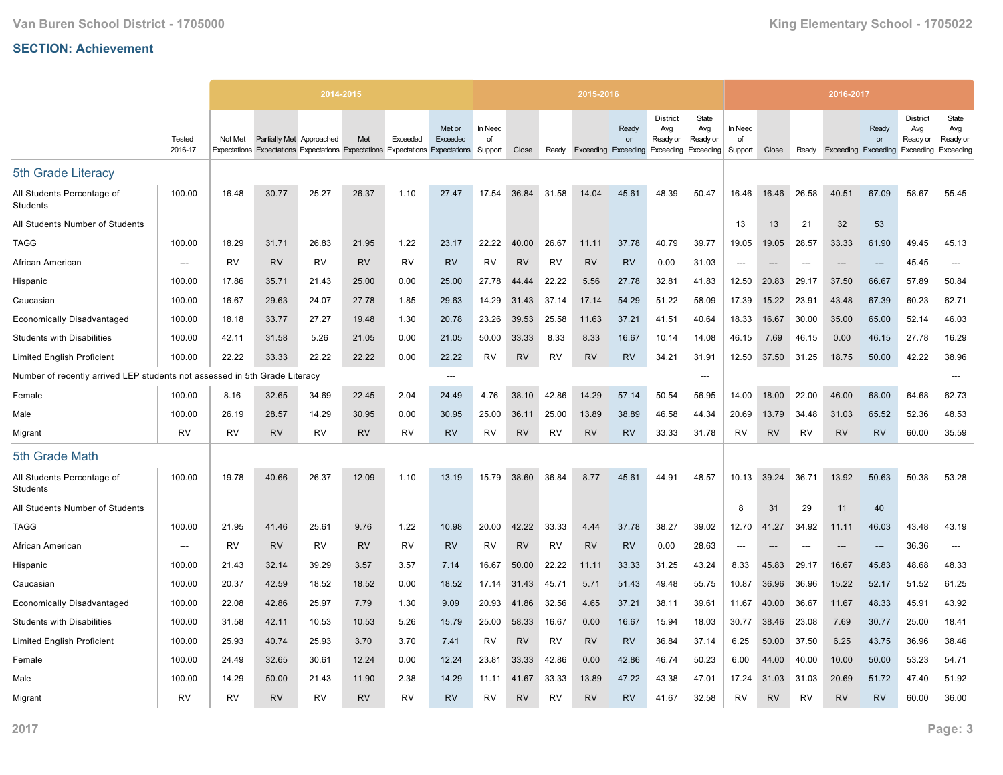|                                                             |                          |           |                          | 2014-2015 |           |           |                                                                                                     |                          |           |           | 2015-2016 |                                                        |                                    |                          |                          |           |       | 2016-2017                  |             |                                                 |                                       |
|-------------------------------------------------------------|--------------------------|-----------|--------------------------|-----------|-----------|-----------|-----------------------------------------------------------------------------------------------------|--------------------------|-----------|-----------|-----------|--------------------------------------------------------|------------------------------------|--------------------------|--------------------------|-----------|-------|----------------------------|-------------|-------------------------------------------------|---------------------------------------|
|                                                             | Tested<br>2016-17        | Not Met   | Partially Met Approached |           | Met       | Exceeded  | Met or<br>Exceeded<br>Expectations Expectations Expectations Expectations Expectations Expectations | In Need<br>of<br>Support | Close     | Ready     |           | Ready<br>or<br>Exceeding Exceeding Exceeding Exceeding | <b>District</b><br>Avg<br>Ready or | State<br>Avg<br>Ready or | In Need<br>of<br>Support | Close     | Ready | <b>Exceeding Exceeding</b> | Ready<br>or | <b>District</b><br>Avg<br>Ready or<br>Exceeding | State<br>Avg<br>Ready or<br>Exceeding |
| 5th Grade Literacy                                          |                          |           |                          |           |           |           |                                                                                                     |                          |           |           |           |                                                        |                                    |                          |                          |           |       |                            |             |                                                 |                                       |
| All Students Percentage of<br>Students                      | 100.00                   | 16.48     | 30.77                    | 25.27     | 26.37     | 1.10      | 27.47                                                                                               | 17.54                    | 36.84     | 31.58     | 14.04     | 45.61                                                  | 48.39                              | 50.47                    | 16.46                    | 16.46     | 26.58 | 40.51                      | 67.09       | 58.67                                           | 55.45                                 |
| All Students Number of Students                             |                          |           |                          |           |           |           |                                                                                                     |                          |           |           |           |                                                        |                                    |                          | 13                       | 13        | 21    | 32                         | 53          |                                                 |                                       |
| <b>TAGG</b>                                                 | 100.00                   | 18.29     | 31.71                    | 26.83     | 21.95     | 1.22      | 23.17                                                                                               | 22.22                    | 40.00     | 26.67     | 11.11     | 37.78                                                  | 40.79                              | 39.77                    | 19.05                    | 19.05     | 28.57 | 33.33                      | 61.90       | 49.45                                           | 45.13                                 |
| African American                                            | $\overline{\phantom{a}}$ | RV        | <b>RV</b>                | <b>RV</b> | <b>RV</b> | <b>RV</b> | <b>RV</b>                                                                                           | <b>RV</b>                | <b>RV</b> | <b>RV</b> | <b>RV</b> | <b>RV</b>                                              | 0.00                               | 31.03                    | ---                      | $---$     | $---$ | $---$                      | ---         | 45.45                                           | ---                                   |
| Hispanic                                                    | 100.00                   | 17.86     | 35.71                    | 21.43     | 25.00     | 0.00      | 25.00                                                                                               | 27.78                    | 44.44     | 22.22     | 5.56      | 27.78                                                  | 32.81                              | 41.83                    | 12.50                    | 20.83     | 29.17 | 37.50                      | 66.67       | 57.89                                           | 50.84                                 |
| Caucasian                                                   | 100.00                   | 16.67     | 29.63                    | 24.07     | 27.78     | 1.85      | 29.63                                                                                               | 14.29                    | 31.43     | 37.14     | 17.14     | 54.29                                                  | 51.22                              | 58.09                    | 17.39                    | 15.22     | 23.91 | 43.48                      | 67.39       | 60.23                                           | 62.71                                 |
| <b>Economically Disadvantaged</b>                           | 100.00                   | 18.18     | 33.77                    | 27.27     | 19.48     | 1.30      | 20.78                                                                                               | 23.26                    | 39.53     | 25.58     | 11.63     | 37.21                                                  | 41.51                              | 40.64                    | 18.33                    | 16.67     | 30.00 | 35.00                      | 65.00       | 52.14                                           | 46.03                                 |
| <b>Students with Disabilities</b>                           | 100.00                   | 42.11     | 31.58                    | 5.26      | 21.05     | 0.00      | 21.05                                                                                               | 50.00                    | 33.33     | 8.33      | 8.33      | 16.67                                                  | 10.14                              | 14.08                    | 46.15                    | 7.69      | 46.15 | 0.00                       | 46.15       | 27.78                                           | 16.29                                 |
| <b>Limited English Proficient</b>                           | 100.00                   | 22.22     | 33.33                    | 22.22     | 22.22     | 0.00      | 22.22                                                                                               | <b>RV</b>                | <b>RV</b> | <b>RV</b> | <b>RV</b> | <b>RV</b>                                              | 34.21                              | 31.91                    | 12.50                    | 37.50     | 31.25 | 18.75                      | 50.00       | 42.22                                           | 38.96                                 |
| Number of recently arrived LEP students not assessed in 5th |                          |           | Grade Literacy           |           |           |           | $---$                                                                                               |                          |           |           |           |                                                        |                                    | ---                      |                          |           |       |                            |             |                                                 |                                       |
| Female                                                      | 100.00                   | 8.16      | 32.65                    | 34.69     | 22.45     | 2.04      | 24.49                                                                                               | 4.76                     | 38.10     | 42.86     | 14.29     | 57.14                                                  | 50.54                              | 56.95                    | 14.00                    | 18.00     | 22.00 | 46.00                      | 68.00       | 64.68                                           | 62.73                                 |
| Male                                                        | 100.00                   | 26.19     | 28.57                    | 14.29     | 30.95     | 0.00      | 30.95                                                                                               | 25.00                    | 36.11     | 25.00     | 13.89     | 38.89                                                  | 46.58                              | 44.34                    | 20.69                    | 13.79     | 34.48 | 31.03                      | 65.52       | 52.36                                           | 48.53                                 |
| Migrant                                                     | <b>RV</b>                | <b>RV</b> | <b>RV</b>                | <b>RV</b> | <b>RV</b> | RV        | <b>RV</b>                                                                                           | RV                       | <b>RV</b> | RV        | <b>RV</b> | <b>RV</b>                                              | 33.33                              | 31.78                    | RV                       | <b>RV</b> | RV    | <b>RV</b>                  | <b>RV</b>   | 60.00                                           | 35.59                                 |
| 5th Grade Math                                              |                          |           |                          |           |           |           |                                                                                                     |                          |           |           |           |                                                        |                                    |                          |                          |           |       |                            |             |                                                 |                                       |
| All Students Percentage of<br>Students                      | 100.00                   | 19.78     | 40.66                    | 26.37     | 12.09     | 1.10      | 13.19                                                                                               | 15.79                    | 38.60     | 36.84     | 8.77      | 45.61                                                  | 44.91                              | 48.57                    | 10.13                    | 39.24     | 36.71 | 13.92                      | 50.63       | 50.38                                           | 53.28                                 |
| All Students Number of Students                             |                          |           |                          |           |           |           |                                                                                                     |                          |           |           |           |                                                        |                                    |                          | 8                        | 31        | 29    | 11                         | 40          |                                                 |                                       |
| TAGG                                                        | 100.00                   | 21.95     | 41.46                    | 25.61     | 9.76      | 1.22      | 10.98                                                                                               | 20.00                    | 42.22     | 33.33     | 4.44      | 37.78                                                  | 38.27                              | 39.02                    | 12.70                    | 41.27     | 34.92 | 11.11                      | 46.03       | 43.48                                           | 43.19                                 |
| African American                                            | ---                      | <b>RV</b> | <b>RV</b>                | <b>RV</b> | <b>RV</b> | <b>RV</b> | <b>RV</b>                                                                                           | <b>RV</b>                | <b>RV</b> | <b>RV</b> | <b>RV</b> | <b>RV</b>                                              | 0.00                               | 28.63                    | ---                      | ---       | ---   | ---                        | ---         | 36.36                                           | ---                                   |
| Hispanic                                                    | 100.00                   | 21.43     | 32.14                    | 39.29     | 3.57      | 3.57      | 7.14                                                                                                | 16.67                    | 50.00     | 22.22     | 11.11     | 33.33                                                  | 31.25                              | 43.24                    | 8.33                     | 45.83     | 29.17 | 16.67                      | 45.83       | 48.68                                           | 48.33                                 |
| Caucasian                                                   | 100.00                   | 20.37     | 42.59                    | 18.52     | 18.52     | 0.00      | 18.52                                                                                               | 17.14                    | 31.43     | 45.71     | 5.71      | 51.43                                                  | 49.48                              | 55.75                    | 10.87                    | 36.96     | 36.96 | 15.22                      | 52.17       | 51.52                                           | 61.25                                 |
| <b>Economically Disadvantaged</b>                           | 100.00                   | 22.08     | 42.86                    | 25.97     | 7.79      | 1.30      | 9.09                                                                                                | 20.93                    | 41.86     | 32.56     | 4.65      | 37.21                                                  | 38.11                              | 39.61                    | 11.67                    | 40.00     | 36.67 | 11.67                      | 48.33       | 45.91                                           | 43.92                                 |
| <b>Students with Disabilities</b>                           | 100.00                   | 31.58     | 42.11                    | 10.53     | 10.53     | 5.26      | 15.79                                                                                               | 25.00                    | 58.33     | 16.67     | 0.00      | 16.67                                                  | 15.94                              | 18.03                    | 30.77                    | 38.46     | 23.08 | 7.69                       | 30.77       | 25.00                                           | 18.41                                 |
| <b>Limited English Proficient</b>                           | 100.00                   | 25.93     | 40.74                    | 25.93     | 3.70      | 3.70      | 7.41                                                                                                | RV                       | <b>RV</b> | RV        | <b>RV</b> | <b>RV</b>                                              | 36.84                              | 37.14                    | 6.25                     | 50.00     | 37.50 | 6.25                       | 43.75       | 36.96                                           | 38.46                                 |
| Female                                                      | 100.00                   | 24.49     | 32.65                    | 30.61     | 12.24     | 0.00      | 12.24                                                                                               | 23.81                    | 33.33     | 42.86     | 0.00      | 42.86                                                  | 46.74                              | 50.23                    | 6.00                     | 44.00     | 40.00 | 10.00                      | 50.00       | 53.23                                           | 54.71                                 |
| Male                                                        | 100.00                   | 14.29     | 50.00                    | 21.43     | 11.90     | 2.38      | 14.29                                                                                               | 11.11                    | 41.67     | 33.33     | 13.89     | 47.22                                                  | 43.38                              | 47.01                    | 17.24                    | 31.03     | 31.03 | 20.69                      | 51.72       | 47.40                                           | 51.92                                 |
| Migrant                                                     | <b>RV</b>                | RV        | <b>RV</b>                | RV        | <b>RV</b> | <b>RV</b> | <b>RV</b>                                                                                           | RV                       | <b>RV</b> | RV        | <b>RV</b> | <b>RV</b>                                              | 41.67                              | 32.58                    | RV                       | <b>RV</b> | RV    | <b>RV</b>                  | <b>RV</b>   | 60.00                                           | 36.00                                 |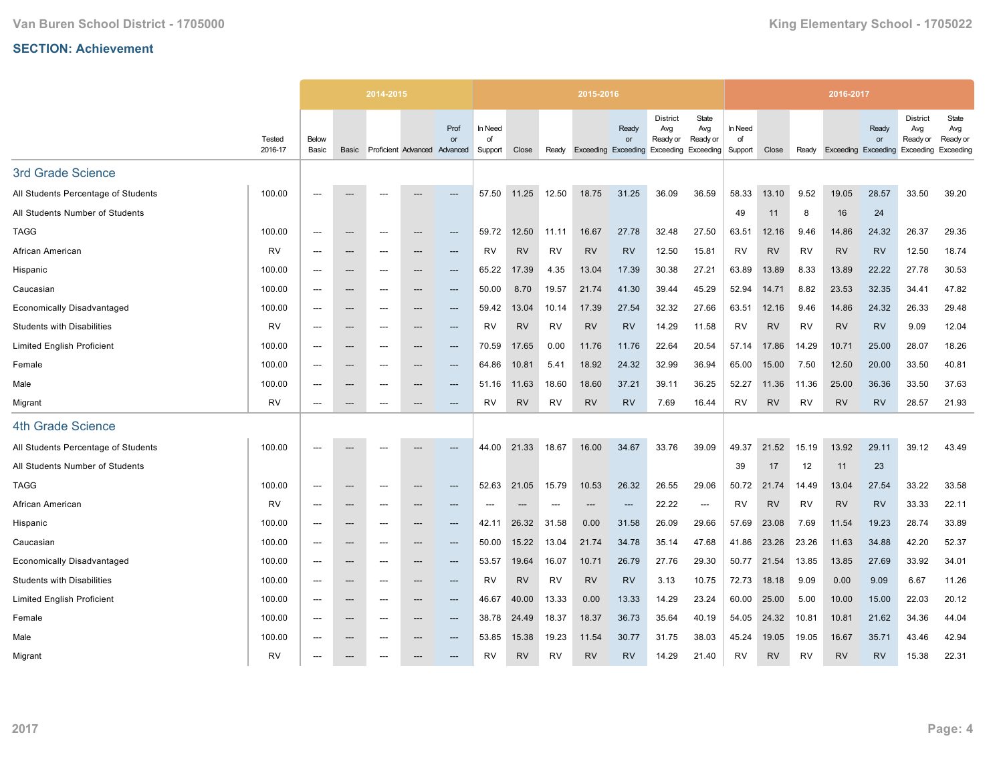|                                     |                   |                          |                          | 2014-2015                |                     |                        |                          |           |           | 2015-2016 |                                           |                                                                  |                          |                          |           |           | 2016-2017 |                          |                                                 |                                       |
|-------------------------------------|-------------------|--------------------------|--------------------------|--------------------------|---------------------|------------------------|--------------------------|-----------|-----------|-----------|-------------------------------------------|------------------------------------------------------------------|--------------------------|--------------------------|-----------|-----------|-----------|--------------------------|-------------------------------------------------|---------------------------------------|
|                                     | Tested<br>2016-17 | Below<br>Basic           | Basic                    |                          | Proficient Advanced | Prof<br>or<br>Advanced | In Need<br>of<br>Support | Close     | Ready     |           | Ready<br>or<br><b>Exceeding Exceeding</b> | <b>District</b><br>Avg<br>Ready or<br><b>Exceeding Exceeding</b> | State<br>Avg<br>Ready or | In Need<br>of<br>Support | Close     | Ready     | Exceeding | Ready<br>or<br>Exceeding | <b>District</b><br>Avg<br>Ready or<br>Exceeding | State<br>Avg<br>Ready or<br>Exceeding |
| 3rd Grade Science                   |                   |                          |                          |                          |                     |                        |                          |           |           |           |                                           |                                                                  |                          |                          |           |           |           |                          |                                                 |                                       |
| All Students Percentage of Students | 100.00            | $---$                    |                          | ---                      |                     | ---                    | 57.50                    | 11.25     | 12.50     | 18.75     | 31.25                                     | 36.09                                                            | 36.59                    | 58.33                    | 13.10     | 9.52      | 19.05     | 28.57                    | 33.50                                           | 39.20                                 |
| All Students Number of Students     |                   |                          |                          |                          |                     |                        |                          |           |           |           |                                           |                                                                  |                          | 49                       | 11        | 8         | 16        | 24                       |                                                 |                                       |
| <b>TAGG</b>                         | 100.00            | $---$                    | $---$                    | $---$                    | $-$                 | $\qquad \qquad \cdots$ | 59.72                    | 12.50     | 11.11     | 16.67     | 27.78                                     | 32.48                                                            | 27.50                    | 63.51                    | 12.16     | 9.46      | 14.86     | 24.32                    | 26.37                                           | 29.35                                 |
| African American                    | <b>RV</b>         | $---$                    | $\hspace{0.05cm} \ldots$ | ---                      | ---                 | ---                    | <b>RV</b>                | <b>RV</b> | RV        | <b>RV</b> | <b>RV</b>                                 | 12.50                                                            | 15.81                    | <b>RV</b>                | <b>RV</b> | <b>RV</b> | <b>RV</b> | <b>RV</b>                | 12.50                                           | 18.74                                 |
| Hispanic                            | 100.00            |                          | ---                      | ---                      | ---                 | ---                    | 65.22                    | 17.39     | 4.35      | 13.04     | 17.39                                     | 30.38                                                            | 27.21                    | 63.89                    | 13.89     | 8.33      | 13.89     | 22.22                    | 27.78                                           | 30.53                                 |
| Caucasian                           | 100.00            | $---$                    | $\hspace{0.05cm} \ldots$ | $---$                    | ---                 | $---$                  | 50.00                    | 8.70      | 19.57     | 21.74     | 41.30                                     | 39.44                                                            | 45.29                    | 52.94                    | 14.71     | 8.82      | 23.53     | 32.35                    | 34.41                                           | 47.82                                 |
| <b>Economically Disadvantaged</b>   | 100.00            | $---$                    | $\hspace{0.05cm} \cdots$ | $---$                    | ---                 | $\qquad \qquad \cdots$ | 59.42                    | 13.04     | 10.14     | 17.39     | 27.54                                     | 32.32                                                            | 27.66                    | 63.51                    | 12.16     | 9.46      | 14.86     | 24.32                    | 26.33                                           | 29.48                                 |
| <b>Students with Disabilities</b>   | <b>RV</b>         | $---$                    | ---                      | ---                      | ---                 | ---                    | <b>RV</b>                | <b>RV</b> | <b>RV</b> | <b>RV</b> | <b>RV</b>                                 | 14.29                                                            | 11.58                    | RV                       | <b>RV</b> | <b>RV</b> | <b>RV</b> | <b>RV</b>                | 9.09                                            | 12.04                                 |
| <b>Limited English Proficient</b>   | 100.00            | $---$                    | $---$                    | $---$                    | ---                 | $---$                  | 70.59                    | 17.65     | 0.00      | 11.76     | 11.76                                     | 22.64                                                            | 20.54                    | 57.14                    | 17.86     | 14.29     | 10.71     | 25.00                    | 28.07                                           | 18.26                                 |
| Female                              | 100.00            |                          | ---                      | ---                      | ---                 | ---                    | 64.86                    | 10.81     | 5.41      | 18.92     | 24.32                                     | 32.99                                                            | 36.94                    | 65.00                    | 15.00     | 7.50      | 12.50     | 20.00                    | 33.50                                           | 40.81                                 |
| Male                                | 100.00            | $---$                    | $\hspace{0.05cm} \ldots$ | $---$                    | ---                 | $---$                  | 51.16                    | 11.63     | 18.60     | 18.60     | 37.21                                     | 39.11                                                            | 36.25                    | 52.27                    | 11.36     | 11.36     | 25.00     | 36.36                    | 33.50                                           | 37.63                                 |
| Migrant                             | <b>RV</b>         | ---                      | $\hspace{0.05cm} \ldots$ | ---                      | ---                 | ---                    | <b>RV</b>                | <b>RV</b> | RV        | <b>RV</b> | <b>RV</b>                                 | 7.69                                                             | 16.44                    | <b>RV</b>                | <b>RV</b> | <b>RV</b> | <b>RV</b> | <b>RV</b>                | 28.57                                           | 21.93                                 |
| <b>4th Grade Science</b>            |                   |                          |                          |                          |                     |                        |                          |           |           |           |                                           |                                                                  |                          |                          |           |           |           |                          |                                                 |                                       |
| All Students Percentage of Students | 100.00            |                          |                          |                          |                     | ---                    | 44.00                    | 21.33     | 18.67     | 16.00     | 34.67                                     | 33.76                                                            | 39.09                    | 49.37                    | 21.52     | 15.19     | 13.92     | 29.11                    | 39.12                                           | 43.49                                 |
| All Students Number of Students     |                   |                          |                          |                          |                     |                        |                          |           |           |           |                                           |                                                                  |                          | 39                       | 17        | 12        | 11        | 23                       |                                                 |                                       |
| <b>TAGG</b>                         | 100.00            | $---$                    | $\hspace{0.05cm} \ldots$ | ---                      | ---                 | ---                    | 52.63                    | 21.05     | 15.79     | 10.53     | 26.32                                     | 26.55                                                            | 29.06                    | 50.72                    | 21.74     | 14.49     | 13.04     | 27.54                    | 33.22                                           | 33.58                                 |
| African American                    | RV                | $---$                    | ---                      | ---                      |                     | ---                    |                          | ---       | $---$     |           | $---$                                     | 22.22                                                            | $\hspace{0.05cm} \ldots$ | RV                       | <b>RV</b> | <b>RV</b> | <b>RV</b> | <b>RV</b>                | 33.33                                           | 22.11                                 |
| Hispanic                            | 100.00            | $---$                    | $---$                    | $---$                    | ---                 | $---$                  | 42.11                    | 26.32     | 31.58     | 0.00      | 31.58                                     | 26.09                                                            | 29.66                    | 57.69                    | 23.08     | 7.69      | 11.54     | 19.23                    | 28.74                                           | 33.89                                 |
| Caucasian                           | 100.00            | $\overline{\phantom{a}}$ | $\hspace{0.05cm} \cdots$ | ---                      | ---                 | ---                    | 50.00                    | 15.22     | 13.04     | 21.74     | 34.78                                     | 35.14                                                            | 47.68                    | 41.86                    | 23.26     | 23.26     | 11.63     | 34.88                    | 42.20                                           | 52.37                                 |
| <b>Economically Disadvantaged</b>   | 100.00            | $---$                    | $---$                    | $---$                    | ---                 | $---$                  | 53.57                    | 19.64     | 16.07     | 10.71     | 26.79                                     | 27.76                                                            | 29.30                    | 50.77                    | 21.54     | 13.85     | 13.85     | 27.69                    | 33.92                                           | 34.01                                 |
| <b>Students with Disabilities</b>   | 100.00            | $\overline{\phantom{a}}$ | $\hspace{0.05cm} \ldots$ | $\hspace{0.05cm} \ldots$ | ---                 | $\qquad \qquad \cdots$ | RV                       | <b>RV</b> | <b>RV</b> | <b>RV</b> | <b>RV</b>                                 | 3.13                                                             | 10.75                    | 72.73                    | 18.18     | 9.09      | 0.00      | 9.09                     | 6.67                                            | 11.26                                 |
| <b>Limited English Proficient</b>   | 100.00            |                          | ---                      | ---                      | ---                 | ---                    | 46.67                    | 40.00     | 13.33     | 0.00      | 13.33                                     | 14.29                                                            | 23.24                    | 60.00                    | 25.00     | 5.00      | 10.00     | 15.00                    | 22.03                                           | 20.12                                 |
| Female                              | 100.00            | $---$                    | $---$                    | $---$                    | ---                 | $---$                  | 38.78                    | 24.49     | 18.37     | 18.37     | 36.73                                     | 35.64                                                            | 40.19                    | 54.05                    | 24.32     | 10.81     | 10.81     | 21.62                    | 34.36                                           | 44.04                                 |
| Male                                | 100.00            | $---$                    | $\hspace{0.05cm} \ldots$ | ---                      | ---                 | ---                    | 53.85                    | 15.38     | 19.23     | 11.54     | 30.77                                     | 31.75                                                            | 38.03                    | 45.24                    | 19.05     | 19.05     | 16.67     | 35.71                    | 43.46                                           | 42.94                                 |
| Migrant                             | <b>RV</b>         |                          | ---                      |                          |                     |                        | <b>RV</b>                | <b>RV</b> | <b>RV</b> | <b>RV</b> | <b>RV</b>                                 | 14.29                                                            | 21.40                    | RV                       | <b>RV</b> | <b>RV</b> | <b>RV</b> | <b>RV</b>                | 15.38                                           | 22.31                                 |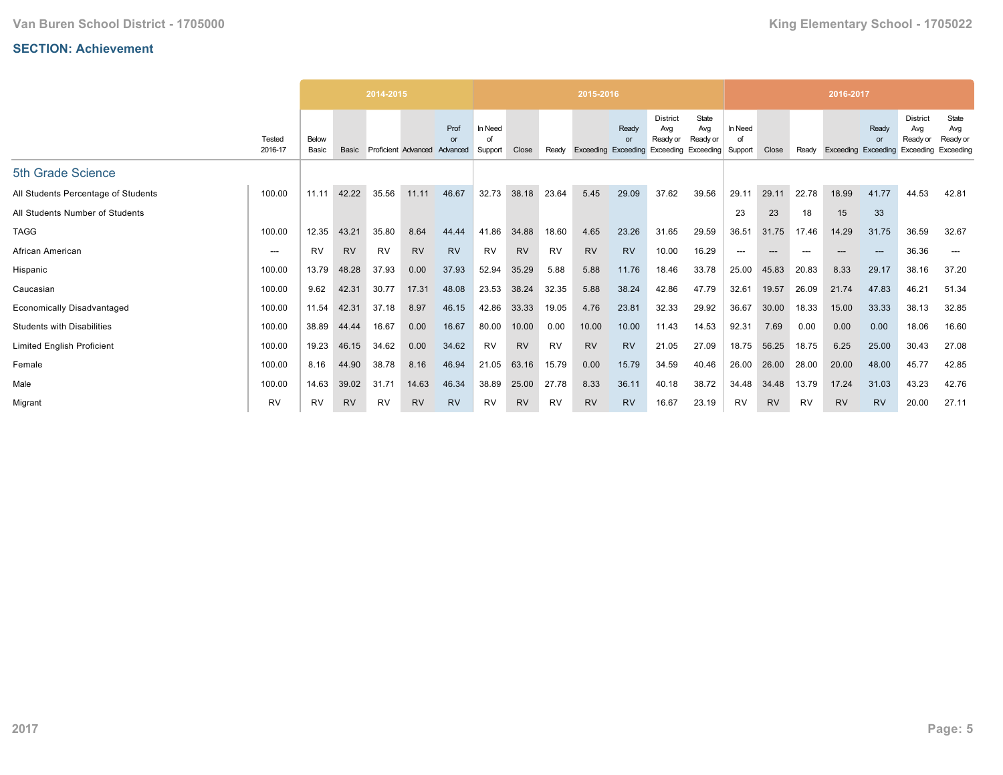|                                     |                          |                |           | 2014-2015 |           |                                            |                          |           |           | 2015-2016                  |             |                                                           |                          |                          |           |       | 2016-2017           |             |                                                 |                                       |
|-------------------------------------|--------------------------|----------------|-----------|-----------|-----------|--------------------------------------------|--------------------------|-----------|-----------|----------------------------|-------------|-----------------------------------------------------------|--------------------------|--------------------------|-----------|-------|---------------------|-------------|-------------------------------------------------|---------------------------------------|
|                                     | Tested<br>2016-17        | Below<br>Basic | Basic     |           |           | Prof<br>or<br>Proficient Advanced Advanced | In Need<br>∩f<br>Support | Close     | Readv     | <b>Exceeding Exceeding</b> | Ready<br>or | <b>District</b><br>Avg<br>Ready or<br>Exceeding Exceeding | State<br>Avg<br>Ready or | In Need<br>of<br>Support | Close     | Readv | Exceeding Exceeding | Ready<br>or | <b>District</b><br>Avg<br>Ready or<br>Exceeding | State<br>Avg<br>Ready or<br>Exceeding |
| 5th Grade Science                   |                          |                |           |           |           |                                            |                          |           |           |                            |             |                                                           |                          |                          |           |       |                     |             |                                                 |                                       |
| All Students Percentage of Students | 100.00                   | 11.11          | 42.22     | 35.56     | 11.11     | 46.67                                      | 32.73                    | 38.18     | 23.64     | 5.45                       | 29.09       | 37.62                                                     | 39.56                    | 29.11                    | 29.11     | 22.78 | 18.99               | 41.77       | 44.53                                           | 42.81                                 |
| All Students Number of Students     |                          |                |           |           |           |                                            |                          |           |           |                            |             |                                                           |                          | 23                       | 23        | 18    | 15                  | 33          |                                                 |                                       |
| <b>TAGG</b>                         | 100.00                   | 12.35          | 43.21     | 35.80     | 8.64      | 44.44                                      | 41.86                    | 34.88     | 18.60     | 4.65                       | 23.26       | 31.65                                                     | 29.59                    | 36.51                    | 31.75     | 17.46 | 14.29               | 31.75       | 36.59                                           | 32.67                                 |
| African American                    | $\hspace{0.05cm} \ldots$ | <b>RV</b>      | <b>RV</b> | <b>RV</b> | <b>RV</b> | <b>RV</b>                                  | <b>RV</b>                | <b>RV</b> | <b>RV</b> | <b>RV</b>                  | <b>RV</b>   | 10.00                                                     | 16.29                    | $---$                    | ---       |       |                     | $---$       | 36.36                                           | $\hspace{0.05cm} \ldots$              |
| Hispanic                            | 100.00                   | 13.79          | 48.28     | 37.93     | 0.00      | 37.93                                      | 52.94                    | 35.29     | 5.88      | 5.88                       | 11.76       | 18.46                                                     | 33.78                    | 25.00                    | 45.83     | 20.83 | 8.33                | 29.17       | 38.16                                           | 37.20                                 |
| Caucasian                           | 100.00                   | 9.62           | 42.31     | 30.77     | 17.31     | 48.08                                      | 23.53                    | 38.24     | 32.35     | 5.88                       | 38.24       | 42.86                                                     | 47.79                    | 32.61                    | 19.57     | 26.09 | 21.74               | 47.83       | 46.21                                           | 51.34                                 |
| <b>Economically Disadvantaged</b>   | 100.00                   | 11.54          | 42.31     | 37.18     | 8.97      | 46.15                                      | 42.86                    | 33.33     | 19.05     | 4.76                       | 23.81       | 32.33                                                     | 29.92                    | 36.67                    | 30.00     | 18.33 | 15.00               | 33.33       | 38.13                                           | 32.85                                 |
| <b>Students with Disabilities</b>   | 100.00                   | 38.89          | 44.44     | 16.67     | 0.00      | 16.67                                      | 80.00                    | 10.00     | 0.00      | 10.00                      | 10.00       | 11.43                                                     | 14.53                    | 92.31                    | 7.69      | 0.00  | 0.00                | 0.00        | 18.06                                           | 16.60                                 |
| <b>Limited English Proficient</b>   | 100.00                   | 19.23          | 46.15     | 34.62     | 0.00      | 34.62                                      | <b>RV</b>                | <b>RV</b> | <b>RV</b> | <b>RV</b>                  | <b>RV</b>   | 21.05                                                     | 27.09                    | 18.75                    | 56.25     | 18.75 | 6.25                | 25.00       | 30.43                                           | 27.08                                 |
| Female                              | 100.00                   | 8.16           | 44.90     | 38.78     | 8.16      | 46.94                                      | 21.05                    | 63.16     | 15.79     | 0.00                       | 15.79       | 34.59                                                     | 40.46                    | 26.00                    | 26.00     | 28.00 | 20.00               | 48.00       | 45.77                                           | 42.85                                 |
| Male                                | 100.00                   | 14.63          | 39.02     | 31.71     | 14.63     | 46.34                                      | 38.89                    | 25.00     | 27.78     | 8.33                       | 36.11       | 40.18                                                     | 38.72                    | 34.48                    | 34.48     | 13.79 | 17.24               | 31.03       | 43.23                                           | 42.76                                 |
| Migrant                             | <b>RV</b>                | <b>RV</b>      | <b>RV</b> | <b>RV</b> | <b>RV</b> | <b>RV</b>                                  | <b>RV</b>                | <b>RV</b> | RV        | <b>RV</b>                  | <b>RV</b>   | 16.67                                                     | 23.19                    | <b>RV</b>                | <b>RV</b> | RV    | <b>RV</b>           | <b>RV</b>   | 20.00                                           | 27.11                                 |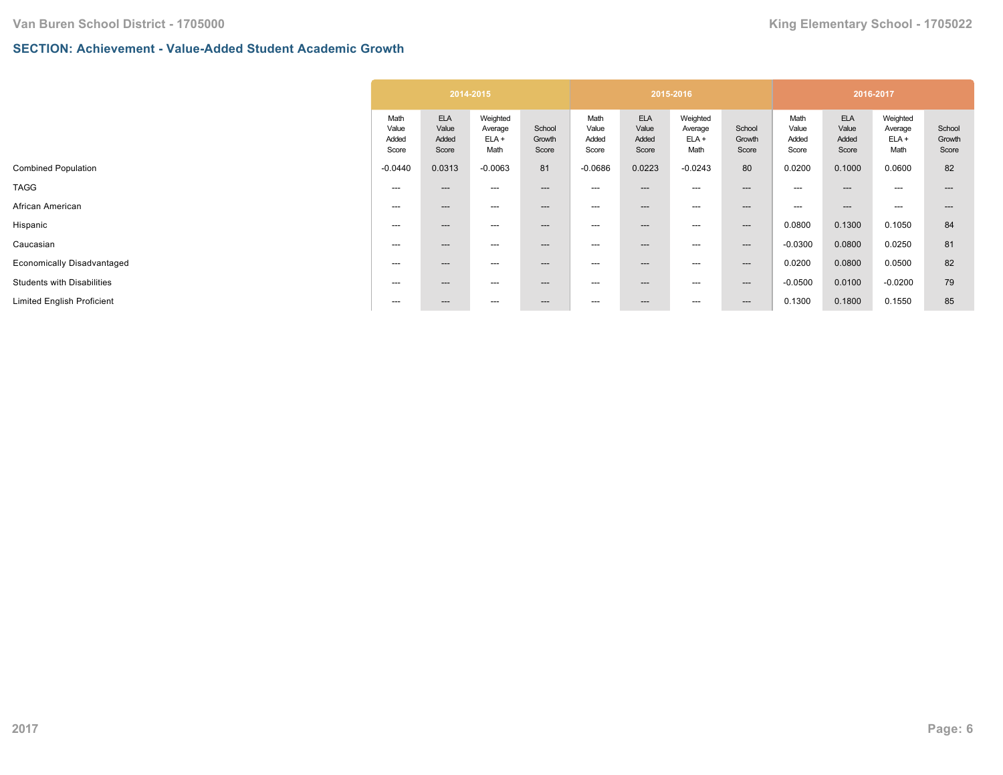### **SECTION: Achievement - Value-Added Student Academic Growth**

|                                   |                                 |                                       | 2014-2015                              |                           |                                 |                                       | 2015-2016                              |                           |                                 | 2016-2017                             |                                        |                           |
|-----------------------------------|---------------------------------|---------------------------------------|----------------------------------------|---------------------------|---------------------------------|---------------------------------------|----------------------------------------|---------------------------|---------------------------------|---------------------------------------|----------------------------------------|---------------------------|
|                                   | Math<br>Value<br>Added<br>Score | <b>ELA</b><br>Value<br>Added<br>Score | Weighted<br>Average<br>$ELA +$<br>Math | School<br>Growth<br>Score | Math<br>Value<br>Added<br>Score | <b>ELA</b><br>Value<br>Added<br>Score | Weighted<br>Average<br>$ELA +$<br>Math | School<br>Growth<br>Score | Math<br>Value<br>Added<br>Score | <b>ELA</b><br>Value<br>Added<br>Score | Weighted<br>Average<br>$ELA +$<br>Math | School<br>Growth<br>Score |
| <b>Combined Population</b>        | $-0.0440$                       | 0.0313                                | $-0.0063$                              | 81                        | $-0.0686$                       | 0.0223                                | $-0.0243$                              | 80                        | 0.0200                          | 0.1000                                | 0.0600                                 | 82                        |
| <b>TAGG</b>                       | ---                             | $---$                                 | ---                                    | ---                       | $---$                           | ---                                   | ---                                    | $---$                     | $---$                           | $---$                                 | $---$                                  |                           |
| African American                  | ---                             | $---$                                 | ---                                    | ---                       | ---                             | ---                                   | ---                                    | $\hspace{0.05cm} \cdots$  | $---$                           | $---$                                 | $---$                                  | $---$                     |
| Hispanic                          | ---                             | $---$                                 | ---                                    | $---$                     | ---                             | ---                                   | ---                                    | $--$                      | 0.0800                          | 0.1300                                | 0.1050                                 | 84                        |
| Caucasian                         | ---                             | $---$                                 | ---                                    | $---$                     | ---                             | ---                                   | ---                                    | $--$                      | $-0.0300$                       | 0.0800                                | 0.0250                                 | 81                        |
| Economically Disadvantaged        | ---                             | $---$                                 | ---                                    | ---                       | ---                             | ---                                   | ---                                    | $---$                     | 0.0200                          | 0.0800                                | 0.0500                                 | 82                        |
| <b>Students with Disabilities</b> | $---$                           | $---$                                 | ---                                    | $---$                     | ---                             | ---                                   | ---                                    | $--$                      | $-0.0500$                       | 0.0100                                | $-0.0200$                              | 79                        |
| <b>Limited English Proficient</b> | ---                             | $---$                                 | ---                                    | ---                       | $\hspace{0.05cm} \ldots$        | ---                                   | ---                                    | $--$                      | 0.1300                          | 0.1800                                | 0.1550                                 | 85                        |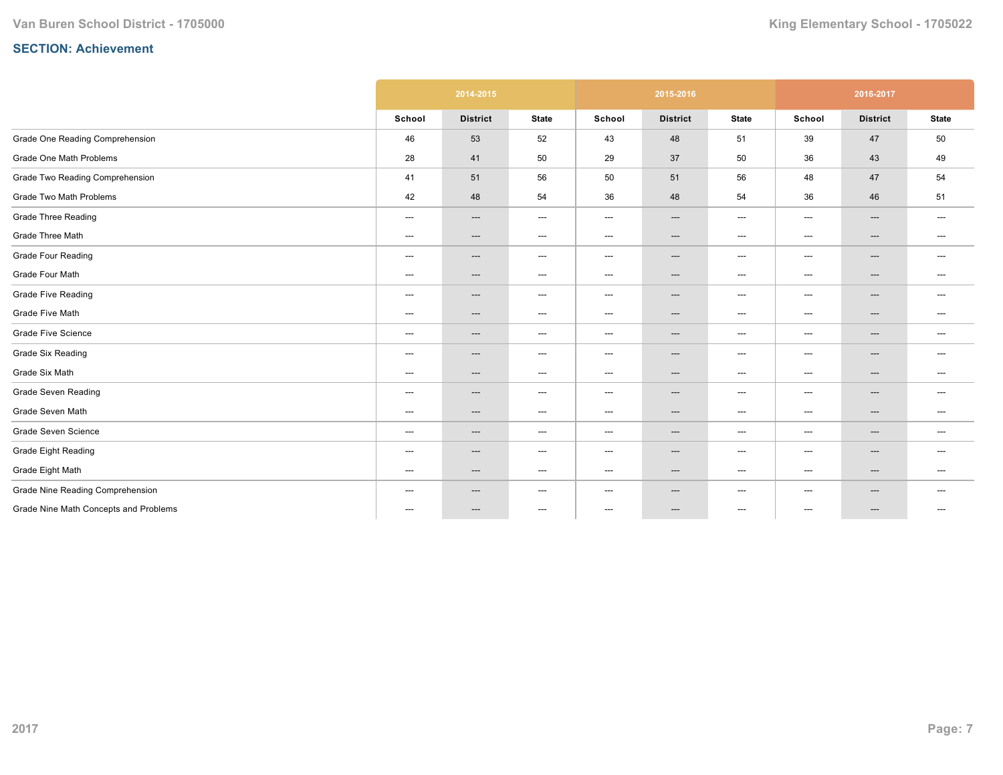|                                         |                          | 2014-2015                |                                   |                                   | 2015-2016                |                                   |                          | 2016-2017                |                                   |
|-----------------------------------------|--------------------------|--------------------------|-----------------------------------|-----------------------------------|--------------------------|-----------------------------------|--------------------------|--------------------------|-----------------------------------|
|                                         | School                   | <b>District</b>          | <b>State</b>                      | School                            | <b>District</b>          | <b>State</b>                      | School                   | <b>District</b>          | <b>State</b>                      |
| Grade One Reading Comprehension         | 46                       | 53                       | 52                                | 43                                | 48                       | 51                                | 39                       | 47                       | 50                                |
| Grade One Math Problems                 | 28                       | 41                       | 50                                | 29                                | 37                       | 50                                | 36                       | 43                       | 49                                |
| Grade Two Reading Comprehension         | 41                       | 51                       | 56                                | 50                                | 51                       | 56                                | 48                       | 47                       | 54                                |
| Grade Two Math Problems                 | 42                       | 48                       | 54                                | 36                                | 48                       | 54                                | 36                       | 46                       | 51                                |
| <b>Grade Three Reading</b>              | ---                      | $\hspace{0.05cm} \ldots$ | $\hspace{0.05cm} \dashrightarrow$ | ---                               | ---                      | $\hspace{0.05cm} \dashrightarrow$ | ---                      | ---                      | $\hspace{0.05cm} \dashrightarrow$ |
| Grade Three Math                        | ---                      | ---                      | $\hspace{0.05cm} \dashrightarrow$ | ---                               | $\hspace{0.05cm} \ldots$ | $\hspace{0.05cm} \dashrightarrow$ | ---                      | ---                      | $---$                             |
| <b>Grade Four Reading</b>               | $\hspace{0.05cm} \ldots$ | ---                      | $\hspace{0.05cm} \ldots$          | $\hspace{0.05cm} \ldots$          | $\hspace{0.05cm} \ldots$ | $\hspace{0.05cm} \ldots$          | $\hspace{0.05cm} \ldots$ | ---                      | $\hspace{0.05cm} \ldots$          |
| Grade Four Math                         | $\hspace{0.05cm} \ldots$ | $\hspace{0.05cm} \ldots$ | $\hspace{0.05cm} \ldots$          | $\qquad \qquad \cdots$            | $\hspace{0.05cm} \ldots$ | $\hspace{0.05cm} \ldots$          | $\qquad \qquad \cdots$   | ---                      | $\hspace{0.05cm} \ldots$          |
| <b>Grade Five Reading</b>               | $\hspace{0.05cm} \ldots$ | ---                      | $\hspace{0.05cm} \dashrightarrow$ | $---$                             | ---                      | $\hspace{0.05cm} \dashrightarrow$ | $---$                    | ---                      | $---$                             |
| Grade Five Math                         | $---$                    | ---                      | $---$                             | $---$                             | $\hspace{0.05cm} \ldots$ | $---$                             | $---$                    | $\hspace{0.05cm} \ldots$ | $---$                             |
| <b>Grade Five Science</b>               | $\hspace{0.05cm} \ldots$ | $---$                    | $\hspace{0.05cm} \ldots$          | $\hspace{0.05cm} \ldots$          | $---$                    | $\hspace{0.05cm} \ldots$          | $\hspace{0.05cm} \ldots$ | $---$                    | $\hspace{0.05cm} \ldots$          |
| <b>Grade Six Reading</b>                | ---                      | ---                      | $\hspace{0.05cm} \dashrightarrow$ | $\hspace{0.05cm} \ldots$          | ---                      | $---$                             | ---                      | ---                      |                                   |
| Grade Six Math                          | $\hspace{0.05cm} \ldots$ | ---                      | $\hspace{0.05cm} \dashrightarrow$ | $---$                             | ---                      | $\hspace{0.05cm} \dashrightarrow$ | $\hspace{0.05cm} \ldots$ | ---                      | $---$                             |
| <b>Grade Seven Reading</b>              | $\hspace{0.05cm} \ldots$ | ---                      | $\hspace{0.05cm} \ldots$          | $\qquad \qquad \cdots$            | $\hspace{0.05cm} \ldots$ | $\hspace{0.05cm} \ldots$          | $\qquad \qquad \cdots$   | ---                      | $---$                             |
| Grade Seven Math                        | ---                      | ---                      | $\hspace{0.05cm} \dashrightarrow$ | ---                               | $\hspace{0.05cm} \cdots$ | $\hspace{0.05cm} \dashrightarrow$ | ---                      | ---                      | $---$                             |
| Grade Seven Science                     | $\hspace{0.05cm} \ldots$ | ---                      | $\hspace{0.05cm} \ldots$          | $\qquad \qquad \cdots$            | ---                      | $\hspace{0.05cm} \ldots$          | $---$                    | ---                      | $---$                             |
| <b>Grade Eight Reading</b>              | ---                      | ---                      | $\hspace{0.05cm} \dashrightarrow$ | $\hspace{0.05cm} \dashrightarrow$ | ---                      | $\hspace{0.05cm} \ldots$          | $\hspace{0.05cm} \ldots$ | ---                      | $---$                             |
| Grade Eight Math                        | $---$                    | $---$                    | $\hspace{0.05cm} \cdots$          | $---$                             | $\hspace{0.05cm} \cdots$ | $\hspace{0.05cm} \cdots$          | $---$                    | ---                      | $\hspace{0.05cm} \dashrightarrow$ |
| <b>Grade Nine Reading Comprehension</b> | $---$                    | ---                      | $\hspace{0.05cm} \dashrightarrow$ | $---$                             | $\hspace{0.05cm} \ldots$ | $---$                             | $---$                    | ---                      | $---$                             |
| Grade Nine Math Concepts and Problems   | ---                      | ---                      | $\hspace{0.05cm} \ldots$          | $\hspace{0.05cm} \ldots$          | ---                      | $\hspace{0.05cm} \ldots$          | ---                      | ---                      | $---$                             |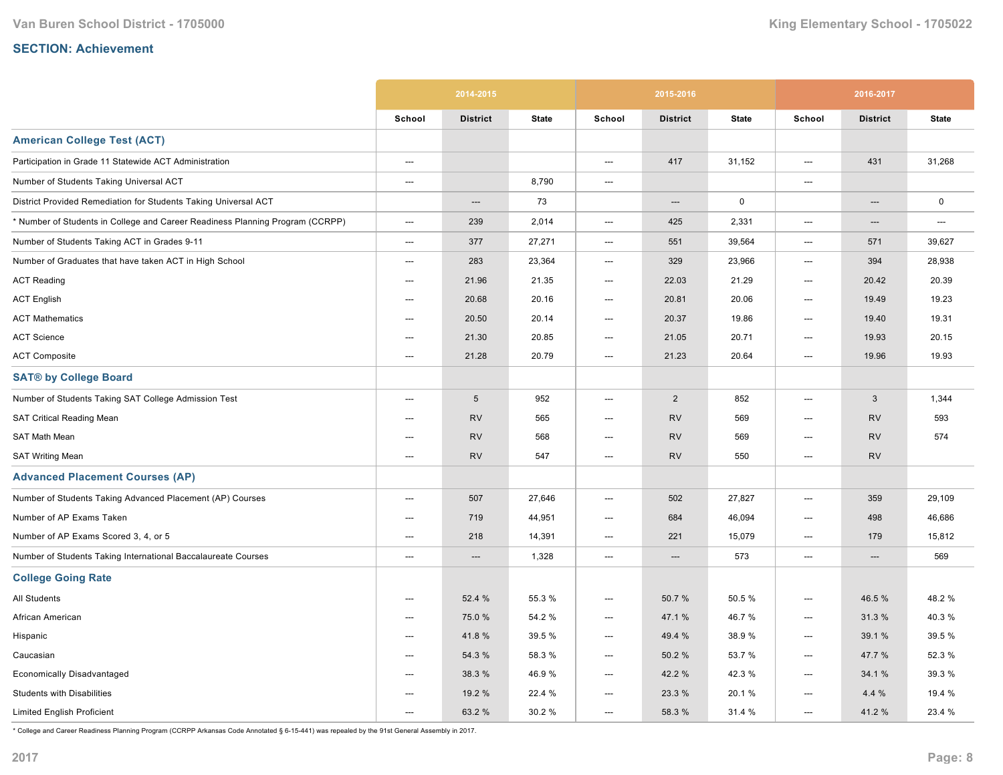|                                                                               |                          | 2014-2015       |              |                          | 2015-2016       |              |        | 2016-2017       |              |
|-------------------------------------------------------------------------------|--------------------------|-----------------|--------------|--------------------------|-----------------|--------------|--------|-----------------|--------------|
|                                                                               | School                   | <b>District</b> | <b>State</b> | School                   | <b>District</b> | <b>State</b> | School | <b>District</b> | <b>State</b> |
| <b>American College Test (ACT)</b>                                            |                          |                 |              |                          |                 |              |        |                 |              |
| Participation in Grade 11 Statewide ACT Administration                        | ---                      |                 |              | ---                      | 417             | 31,152       | ---    | 431             | 31,268       |
| Number of Students Taking Universal ACT                                       | $---$                    |                 | 8,790        | $\overline{\phantom{a}}$ |                 |              | ---    |                 |              |
| District Provided Remediation for Students Taking Universal ACT               |                          | ---             | 73           |                          | ---             | $\mathbf 0$  |        | ---             | $\mathsf 0$  |
| * Number of Students in College and Career Readiness Planning Program (CCRPP) | ---                      | 239             | 2,014        | ---                      | 425             | 2,331        | ---    | ---             | ---          |
| Number of Students Taking ACT in Grades 9-11                                  | ---                      | 377             | 27,271       | $\hspace{0.05cm} \ldots$ | 551             | 39,564       | ---    | 571             | 39,627       |
| Number of Graduates that have taken ACT in High School                        | ---                      | 283             | 23,364       | $---$                    | 329             | 23,966       | ---    | 394             | 28,938       |
| <b>ACT Reading</b>                                                            | $---$                    | 21.96           | 21.35        | ---                      | 22.03           | 21.29        | ---    | 20.42           | 20.39        |
| <b>ACT English</b>                                                            | $\hspace{0.05cm} \ldots$ | 20.68           | 20.16        | ---                      | 20.81           | 20.06        | ---    | 19.49           | 19.23        |
| <b>ACT Mathematics</b>                                                        | ---                      | 20.50           | 20.14        | ---                      | 20.37           | 19.86        | ---    | 19.40           | 19.31        |
| <b>ACT Science</b>                                                            | ---                      | 21.30           | 20.85        | $\hspace{0.05cm} \ldots$ | 21.05           | 20.71        | ---    | 19.93           | 20.15        |
| <b>ACT Composite</b>                                                          | ---                      | 21.28           | 20.79        | ---                      | 21.23           | 20.64        | ---    | 19.96           | 19.93        |
| <b>SAT® by College Board</b>                                                  |                          |                 |              |                          |                 |              |        |                 |              |
| Number of Students Taking SAT College Admission Test                          | $---$                    | $\sqrt{5}$      | 952          | ---                      | 2               | 852          | $---$  | 3               | 1,344        |
| SAT Critical Reading Mean                                                     | ---                      | <b>RV</b>       | 565          | ---                      | <b>RV</b>       | 569          | ---    | <b>RV</b>       | 593          |
| SAT Math Mean                                                                 | ---                      | <b>RV</b>       | 568          | ---                      | <b>RV</b>       | 569          | ---    | <b>RV</b>       | 574          |
| <b>SAT Writing Mean</b>                                                       | $\overline{\phantom{a}}$ | <b>RV</b>       | 547          | $---$                    | <b>RV</b>       | 550          | ---    | <b>RV</b>       |              |
| <b>Advanced Placement Courses (AP)</b>                                        |                          |                 |              |                          |                 |              |        |                 |              |
| Number of Students Taking Advanced Placement (AP) Courses                     | $---$                    | 507             | 27,646       | $\overline{\phantom{a}}$ | 502             | 27,827       | $---$  | 359             | 29,109       |
| Number of AP Exams Taken                                                      | ---                      | 719             | 44,951       | ---                      | 684             | 46,094       | ---    | 498             | 46,686       |
| Number of AP Exams Scored 3, 4, or 5                                          | $---$                    | 218             | 14,391       | ---                      | 221             | 15,079       | $---$  | 179             | 15,812       |
| Number of Students Taking International Baccalaureate Courses                 | ---                      | $---$           | 1,328        | $\hspace{0.05cm} \ldots$ | $---$           | 573          | ---    | $---$           | 569          |
| <b>College Going Rate</b>                                                     |                          |                 |              |                          |                 |              |        |                 |              |
| <b>All Students</b>                                                           | ---                      | 52.4 %          | 55.3 %       | ---                      | 50.7%           | 50.5%        | ---    | 46.5 %          | 48.2%        |
| African American                                                              | ---                      | 75.0%           | 54.2 %       | ---                      | 47.1 %          | 46.7%        | ---    | 31.3%           | 40.3%        |
| Hispanic                                                                      | ---                      | 41.8%           | 39.5 %       | ---                      | 49.4 %          | 38.9%        | ---    | 39.1 %          | 39.5 %       |
| Caucasian                                                                     | $---$                    | 54.3 %          | 58.3 %       | ---                      | 50.2%           | 53.7 %       | ---    | 47.7 %          | 52.3 %       |
| <b>Economically Disadvantaged</b>                                             | $---$                    | 38.3 %          | 46.9%        | ---                      | 42.2 %          | 42.3%        | ---    | 34.1 %          | 39.3 %       |
| <b>Students with Disabilities</b>                                             | $---$                    | 19.2 %          | 22.4 %       | ---                      | 23.3 %          | 20.1%        | ---    | 4.4 %           | 19.4 %       |
| <b>Limited English Proficient</b>                                             | $---$                    | 63.2 %          | 30.2%        | $---$                    | 58.3 %          | 31.4 %       | $---$  | 41.2%           | 23.4 %       |

\* College and Career Readiness Planning Program (CCRPP Arkansas Code Annotated § 615441) was repealed by the 91st General Assembly in 2017.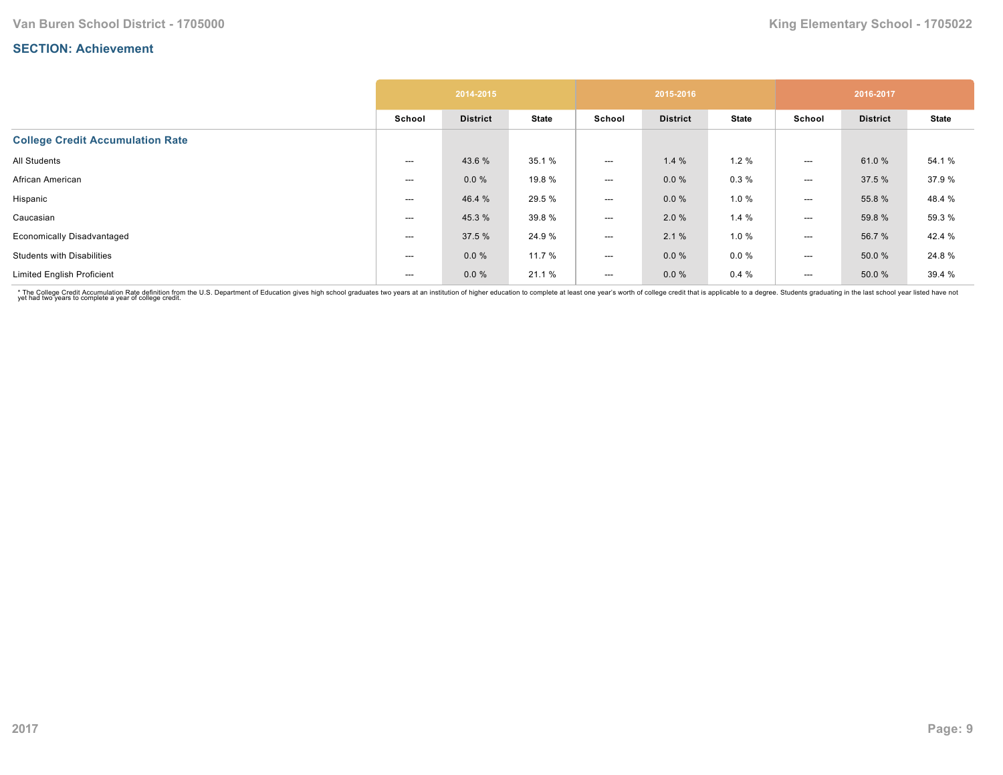|                                         |        | 2014-2015       |              |                          | 2015-2016       |              |                          | 2016-2017       |              |
|-----------------------------------------|--------|-----------------|--------------|--------------------------|-----------------|--------------|--------------------------|-----------------|--------------|
|                                         | School | <b>District</b> | <b>State</b> | School                   | <b>District</b> | <b>State</b> | School                   | <b>District</b> | <b>State</b> |
| <b>College Credit Accumulation Rate</b> |        |                 |              |                          |                 |              |                          |                 |              |
| All Students                            | ---    | 43.6 %          | 35.1 %       | $---$                    | 1.4%            | 1.2%         | $---$                    | 61.0%           | 54.1 %       |
| African American                        | ---    | 0.0%            | 19.8 %       | $---$                    | $0.0 \%$        | 0.3%         | $---$                    | 37.5 %          | 37.9%        |
| Hispanic                                | ---    | 46.4 %          | 29.5 %       | $\hspace{0.05cm} \ldots$ | $0.0 \%$        | 1.0%         | $---$                    | 55.8 %          | 48.4 %       |
| Caucasian                               | ---    | 45.3 %          | 39.8%        | $---$                    | 2.0%            | 1.4%         | $---$                    | 59.8 %          | 59.3 %       |
| <b>Economically Disadvantaged</b>       | ---    | 37.5 %          | 24.9%        | $\hspace{0.05cm} \ldots$ | 2.1%            | 1.0 %        | $---$                    | 56.7 %          | 42.4 %       |
| <b>Students with Disabilities</b>       | ---    | 0.0%            | 11.7 %       | $\hspace{0.05cm} \ldots$ | $0.0 \%$        | $0.0 \%$     | ---                      | 50.0 %          | 24.8%        |
| <b>Limited English Proficient</b>       | ---    | 0.0%            | 21.1 %       | $---$                    | $0.0 \%$        | 0.4%         | $\hspace{0.05cm} \ldots$ | 50.0 %          | 39.4 %       |

\* The College Credit Accumulation Rate definition from the U.S. Department of Education gives high school graduates two years at an institution of higher education to complete at least one year's worth of college credit th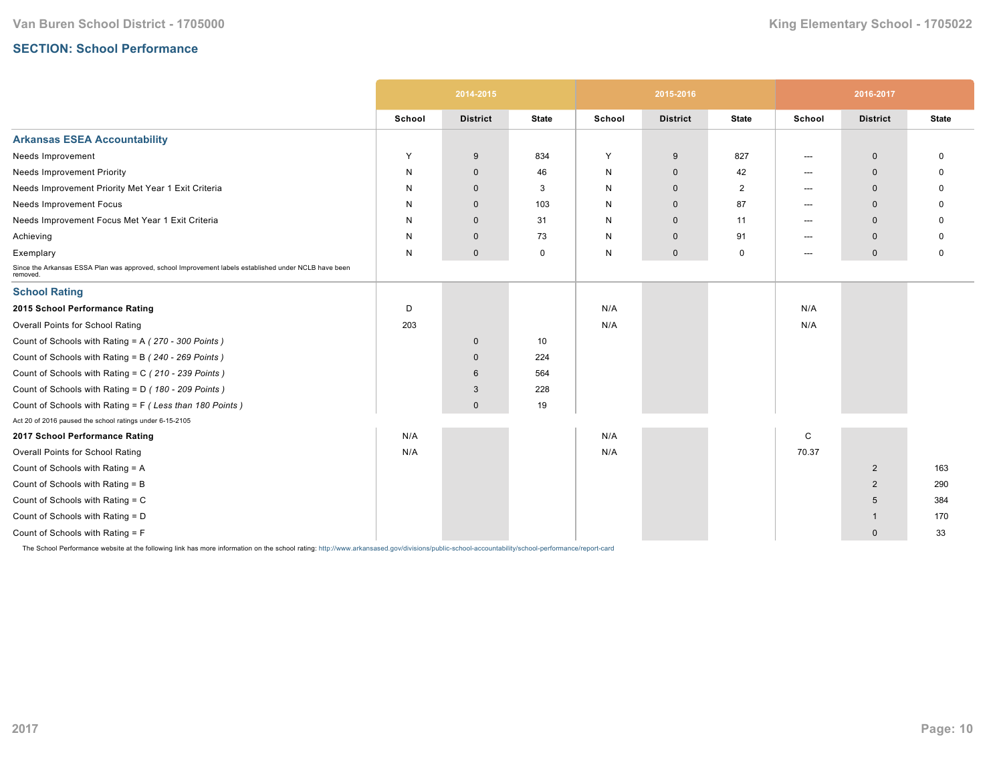# **SECTION: School Performance**

|                                                                                                                   |        | 2014-2015       |              |        | 2015-2016       |                |        | 2016-2017       |              |
|-------------------------------------------------------------------------------------------------------------------|--------|-----------------|--------------|--------|-----------------|----------------|--------|-----------------|--------------|
|                                                                                                                   | School | <b>District</b> | <b>State</b> | School | <b>District</b> | <b>State</b>   | School | <b>District</b> | <b>State</b> |
| <b>Arkansas ESEA Accountability</b>                                                                               |        |                 |              |        |                 |                |        |                 |              |
| Needs Improvement                                                                                                 | Y      | 9               | 834          | Y      | 9               | 827            | ---    | $\mathbf 0$     | 0            |
| <b>Needs Improvement Priority</b>                                                                                 | N      | $\mathbf 0$     | 46           | N      | $\mathbf 0$     | 42             | $---$  | $\Omega$        | O            |
| Needs Improvement Priority Met Year 1 Exit Criteria                                                               | N      | $\Omega$        | 3            | N      | $\mathbf{0}$    | $\overline{2}$ | $---$  | $\Omega$        | <sup>0</sup> |
| Needs Improvement Focus                                                                                           | N      | $\mathbf 0$     | 103          | N      | $\mathbf 0$     | 87             | $---$  | $\Omega$        | O            |
| Needs Improvement Focus Met Year 1 Exit Criteria                                                                  | N      | $\mathbf 0$     | 31           | N      | $\mathbf{0}$    | 11             | $---$  | $\mathbf 0$     |              |
| Achieving                                                                                                         | N      | $\mathbf 0$     | 73           | N      | $\mathbf 0$     | 91             | $---$  | $\mathbf 0$     | O            |
| Exemplary                                                                                                         | N      | $\mathbf 0$     | 0            | N      | $\mathbf 0$     | 0              | $---$  | $\mathbf 0$     | 0            |
| Since the Arkansas ESSA Plan was approved, school Improvement labels established under NCLB have been<br>removed. |        |                 |              |        |                 |                |        |                 |              |
| <b>School Rating</b>                                                                                              |        |                 |              |        |                 |                |        |                 |              |
| 2015 School Performance Rating                                                                                    | D      |                 |              | N/A    |                 |                | N/A    |                 |              |
| Overall Points for School Rating                                                                                  | 203    |                 |              | N/A    |                 |                | N/A    |                 |              |
| Count of Schools with Rating = A (270 - 300 Points)                                                               |        | $\mathbf 0$     | 10           |        |                 |                |        |                 |              |
| Count of Schools with Rating = B (240 - 269 Points)                                                               |        | $\mathbf{0}$    | 224          |        |                 |                |        |                 |              |
| Count of Schools with Rating = C (210 - 239 Points)                                                               |        | 6               | 564          |        |                 |                |        |                 |              |
| Count of Schools with Rating = D (180 - 209 Points)                                                               |        | 3               | 228          |        |                 |                |        |                 |              |
| Count of Schools with Rating = F (Less than 180 Points)                                                           |        | $\mathbf{0}$    | 19           |        |                 |                |        |                 |              |
| Act 20 of 2016 paused the school ratings under 6-15-2105                                                          |        |                 |              |        |                 |                |        |                 |              |
| 2017 School Performance Rating                                                                                    | N/A    |                 |              | N/A    |                 |                | C      |                 |              |
| Overall Points for School Rating                                                                                  | N/A    |                 |              | N/A    |                 |                | 70.37  |                 |              |
| Count of Schools with Rating = A                                                                                  |        |                 |              |        |                 |                |        | $\overline{2}$  | 163          |
| Count of Schools with Rating = B                                                                                  |        |                 |              |        |                 |                |        | $\overline{2}$  | 290          |
| Count of Schools with Rating = C                                                                                  |        |                 |              |        |                 |                |        | 5               | 384          |
| Count of Schools with Rating = D                                                                                  |        |                 |              |        |                 |                |        | -1              | 170          |
| Count of Schools with Rating = F                                                                                  |        |                 |              |        |                 |                |        | $\mathbf 0$     | 33           |

The School Performance website at the following link has more information on the school rating: http://www.arkansased.gov/divisions/public-school-accountability/school-performance/report-card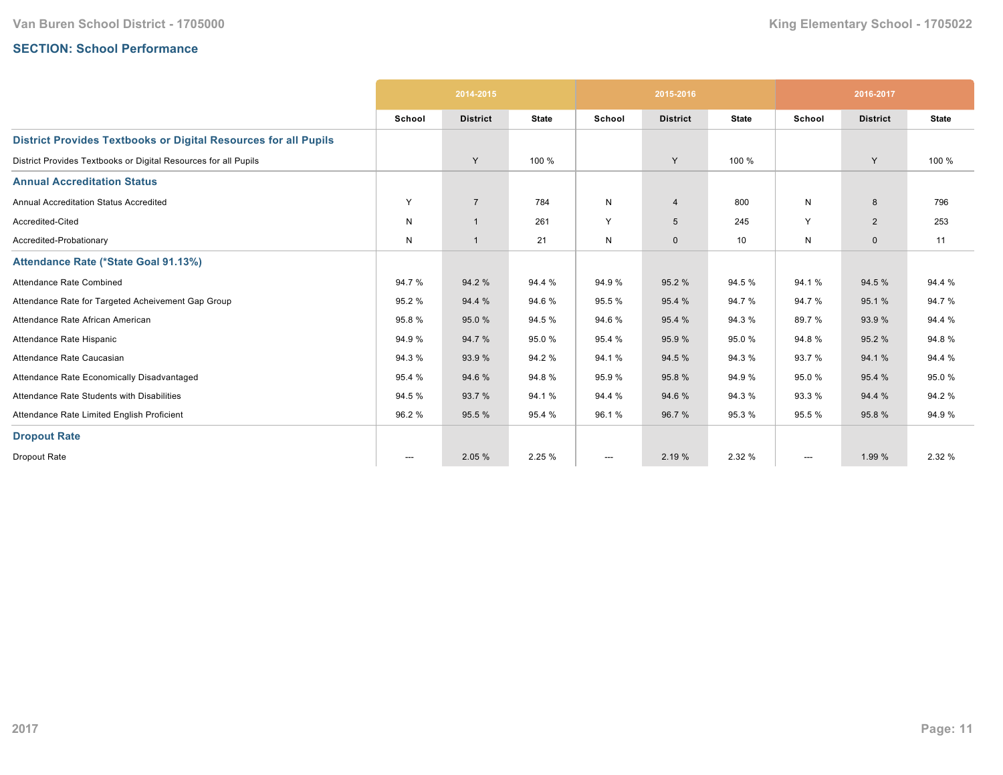# **SECTION: School Performance**

|                                                                        |                          | 2014-2015       |              |              | 2015-2016       |              |                        | 2016-2017       |              |
|------------------------------------------------------------------------|--------------------------|-----------------|--------------|--------------|-----------------|--------------|------------------------|-----------------|--------------|
|                                                                        | School                   | <b>District</b> | <b>State</b> | School       | <b>District</b> | <b>State</b> | School                 | <b>District</b> | <b>State</b> |
| <b>District Provides Textbooks or Digital Resources for all Pupils</b> |                          |                 |              |              |                 |              |                        |                 |              |
| District Provides Textbooks or Digital Resources for all Pupils        |                          | Y               | 100 %        |              | Y               | 100 %        |                        | Y               | 100 %        |
| <b>Annual Accreditation Status</b>                                     |                          |                 |              |              |                 |              |                        |                 |              |
| Annual Accreditation Status Accredited                                 | Y                        | $\overline{7}$  | 784          | $\mathsf{N}$ | $\overline{4}$  | 800          | N                      | 8               | 796          |
| Accredited-Cited                                                       | N                        | $\overline{1}$  | 261          | Y            | $5\phantom{.0}$ | 245          | Y                      | $\overline{2}$  | 253          |
| Accredited-Probationary                                                | N                        | $\overline{1}$  | 21           | N            | $\mathbf 0$     | 10           | N                      | $\mathbf{0}$    | 11           |
| Attendance Rate (*State Goal 91.13%)                                   |                          |                 |              |              |                 |              |                        |                 |              |
| Attendance Rate Combined                                               | 94.7%                    | 94.2 %          | 94.4 %       | 94.9%        | 95.2 %          | 94.5 %       | 94.1%                  | 94.5 %          | 94.4 %       |
| Attendance Rate for Targeted Acheivement Gap Group                     | 95.2%                    | 94.4 %          | 94.6%        | 95.5 %       | 95.4 %          | 94.7%        | 94.7%                  | 95.1%           | 94.7%        |
| Attendance Rate African American                                       | 95.8%                    | 95.0%           | 94.5%        | 94.6%        | 95.4 %          | 94.3 %       | 89.7%                  | 93.9%           | 94.4 %       |
| Attendance Rate Hispanic                                               | 94.9%                    | 94.7%           | 95.0%        | 95.4 %       | 95.9 %          | 95.0%        | 94.8%                  | 95.2 %          | 94.8%        |
| Attendance Rate Caucasian                                              | 94.3%                    | 93.9 %          | 94.2%        | 94.1%        | 94.5 %          | 94.3 %       | 93.7%                  | 94.1 %          | 94.4 %       |
| Attendance Rate Economically Disadvantaged                             | 95.4 %                   | 94.6%           | 94.8%        | 95.9%        | 95.8%           | 94.9%        | 95.0%                  | 95.4 %          | 95.0%        |
| Attendance Rate Students with Disabilities                             | 94.5 %                   | 93.7 %          | 94.1%        | 94.4 %       | 94.6%           | 94.3 %       | 93.3%                  | 94.4 %          | 94.2 %       |
| Attendance Rate Limited English Proficient                             | 96.2%                    | 95.5 %          | 95.4 %       | 96.1%        | 96.7 %          | 95.3 %       | 95.5%                  | 95.8%           | 94.9%        |
| <b>Dropout Rate</b>                                                    |                          |                 |              |              |                 |              |                        |                 |              |
| Dropout Rate                                                           | $\hspace{0.05cm} \ldots$ | 2.05 %          | 2.25 %       | ---          | 2.19 %          | 2.32 %       | $\qquad \qquad \cdots$ | 1.99 %          | 2.32 %       |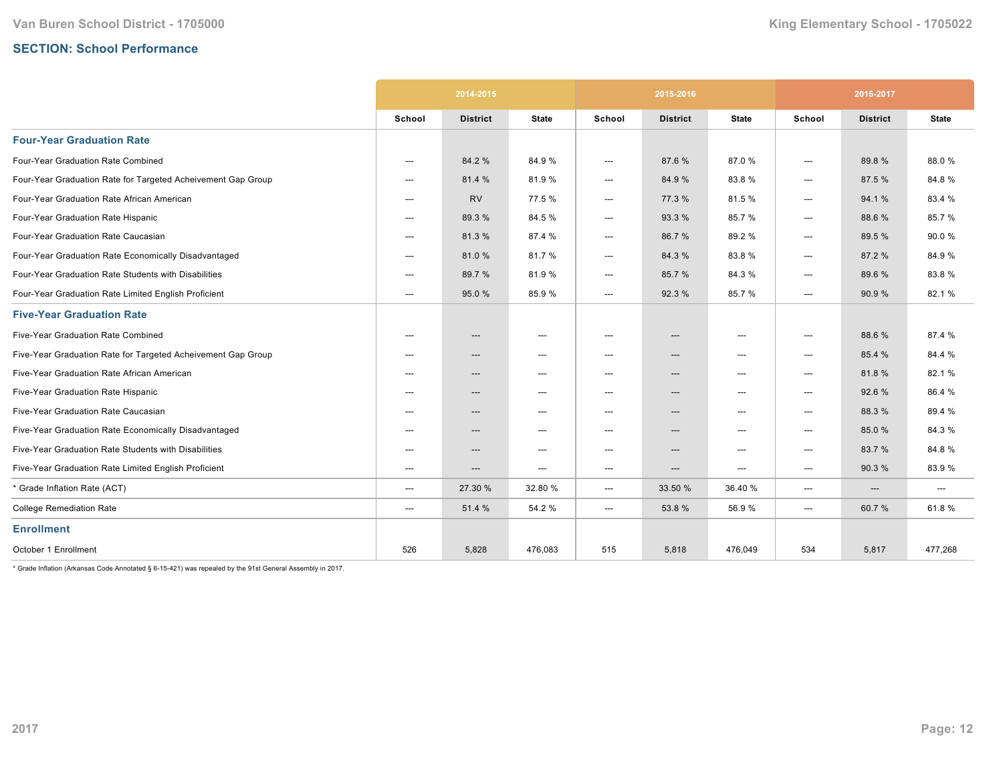## **SECTION: School Performance**

|                                                              | 2014-2015 |                 |                                   |        | 2015-2016                |                                   | 2016-2017 |                 |              |
|--------------------------------------------------------------|-----------|-----------------|-----------------------------------|--------|--------------------------|-----------------------------------|-----------|-----------------|--------------|
|                                                              | School    | <b>District</b> | <b>State</b>                      | School | <b>District</b>          | <b>State</b>                      | School    | <b>District</b> | <b>State</b> |
| <b>Four-Year Graduation Rate</b>                             |           |                 |                                   |        |                          |                                   |           |                 |              |
| Four-Year Graduation Rate Combined                           | $---$     | 84.2 %          | 84.9%                             | ---    | 87.6%                    | 87.0%                             | ---       | 89.8%           | 88.0%        |
| Four-Year Graduation Rate for Targeted Acheivement Gap Group | $---$     | 81.4 %          | 81.9%                             | ---    | 84.9%                    | 83.8%                             | ---       | 87.5 %          | 84.8%        |
| Four-Year Graduation Rate African American                   | $---$     | <b>RV</b>       | 77.5 %                            | ---    | 77.3 %                   | 81.5%                             | ---       | 94.1%           | 83.4 %       |
| Four-Year Graduation Rate Hispanic                           | $---$     | 89.3 %          | 84.5%                             | ---    | 93.3 %                   | 85.7%                             | ---       | 88.6%           | 85.7%        |
| Four-Year Graduation Rate Caucasian                          | ---       | 81.3%           | 87.4 %                            | ---    | 86.7%                    | 89.2%                             | ---       | 89.5 %          | 90.0%        |
| Four-Year Graduation Rate Economically Disadvantaged         | ---       | 81.0%           | 81.7%                             | ---    | 84.3%                    | 83.8%                             | ---       | 87.2 %          | 84.9%        |
| Four-Year Graduation Rate Students with Disabilities         | ---       | 89.7 %          | 81.9%                             | ---    | 85.7%                    | 84.3%                             | ---       | 89.6 %          | 83.8%        |
| Four-Year Graduation Rate Limited English Proficient         | ---       | 95.0 %          | 85.9%                             | ---    | 92.3 %                   | 85.7%                             | ---       | 90.9%           | 82.1%        |
| <b>Five-Year Graduation Rate</b>                             |           |                 |                                   |        |                          |                                   |           |                 |              |
| Five-Year Graduation Rate Combined                           | ---       | ---             | $---$                             | $---$  | $---$                    | $---$                             | $---$     | 88.6%           | 87.4 %       |
| Five-Year Graduation Rate for Targeted Acheivement Gap Group | $---$     | ---             | $\hspace{0.05cm} \ldots$          | ---    | $\hspace{0.05cm} \ldots$ | $\hspace{0.05cm} \ldots$          | ---       | 85.4 %          | 84.4 %       |
| Five-Year Graduation Rate African American                   | $---$     | ---             | $\hspace{0.05cm} \dashrightarrow$ | ---    | $\hspace{0.05cm} \cdots$ | ---                               | ---       | 81.8%           | 82.1%        |
| Five-Year Graduation Rate Hispanic                           | ---       | ---             | $\hspace{0.05cm} \dashrightarrow$ | ---    | $\hspace{0.05cm} \cdots$ | $\hspace{0.05cm} \dashrightarrow$ | ---       | 92.6%           | 86.4 %       |
| Five-Year Graduation Rate Caucasian                          | ---       | ---             | $\hspace{0.05cm} \ldots$          | ---    | ---                      | $\overline{\phantom{a}}$          | ---       | 88.3 %          | 89.4%        |
| Five-Year Graduation Rate Economically Disadvantaged         | ---       | ---             | $\hspace{0.05cm} \ldots$          | ---    | ---                      | $---$                             | ---       | 85.0%           | 84.3%        |
| Five-Year Graduation Rate Students with Disabilities         | $---$     | ---             | $\hspace{0.05cm} \cdots$          | ---    | ---                      | ---                               | ---       | 83.7%           | 84.8%        |
| Five-Year Graduation Rate Limited English Proficient         | $---$     | ---             | $\hspace{0.05cm} \cdots$          | ---    | ---                      | $\hspace{0.05cm} \dashrightarrow$ | ---       | 90.3%           | 83.9%        |
| * Grade Inflation Rate (ACT)                                 | ---       | 27.30 %         | 32.80 %                           | ---    | 33.50 %                  | 36.40 %                           | ---       | ---             | ---          |
| <b>College Remediation Rate</b>                              | ---       | 51.4 %          | 54.2 %                            | ---    | 53.8%                    | 56.9%                             | ---       | 60.7%           | 61.8%        |
| <b>Enrollment</b>                                            |           |                 |                                   |        |                          |                                   |           |                 |              |
| October 1 Enrollment                                         | 526       | 5,828           | 476,083                           | 515    | 5,818                    | 476,049                           | 534       | 5,817           | 477,268      |

 $*$  Grade Inflation (Arkansas Code Annotated § 6-15-421) was repealed by the 91st General Assembly in 2017.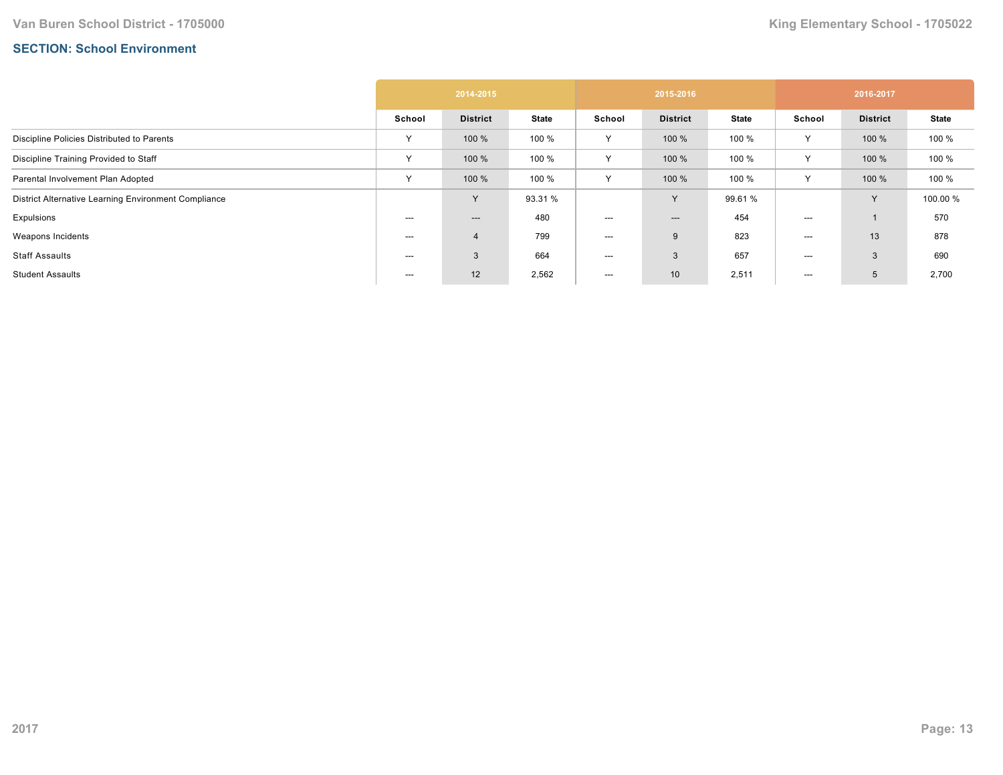## **SECTION: School Environment**

|                                                      | 2014-2015    |                 |              | 2015-2016 |                 |              | 2016-2017    |                 |              |
|------------------------------------------------------|--------------|-----------------|--------------|-----------|-----------------|--------------|--------------|-----------------|--------------|
|                                                      | School       | <b>District</b> | <b>State</b> | School    | <b>District</b> | <b>State</b> | School       | <b>District</b> | <b>State</b> |
| Discipline Policies Distributed to Parents           | $\checkmark$ | 100 %           | 100 %        | Y         | 100 %           | 100 %        | Υ            | 100 %           | 100 %        |
| Discipline Training Provided to Staff                | $\checkmark$ | 100 %           | 100 %        | Υ         | 100 %           | 100 %        |              | 100 %           | 100 %        |
| Parental Involvement Plan Adopted                    | $\checkmark$ | 100 %           | 100 %        | Y         | 100 %           | 100 %        | $\checkmark$ | 100 %           | 100 %        |
| District Alternative Learning Environment Compliance |              | $\checkmark$    | 93.31 %      |           | Y               | 99.61 %      |              | <b>V</b>        | 100.00 %     |
| Expulsions                                           | $---$        | ---             | 480          | $---$     | $---$           | 454          | ---          |                 | 570          |
| Weapons Incidents                                    | $--$         | $\overline{4}$  | 799          | $--$      | 9               | 823          | $--$         | 13              | 878          |
| <b>Staff Assaults</b>                                | $--$         | 3               | 664          | $--$      | 3               | 657          | ---          | 3               | 690          |
| <b>Student Assaults</b>                              | ---          | 12              | 2,562        | ---       | 10 <sup>°</sup> | 2,511        | ---          | 5               | 2,700        |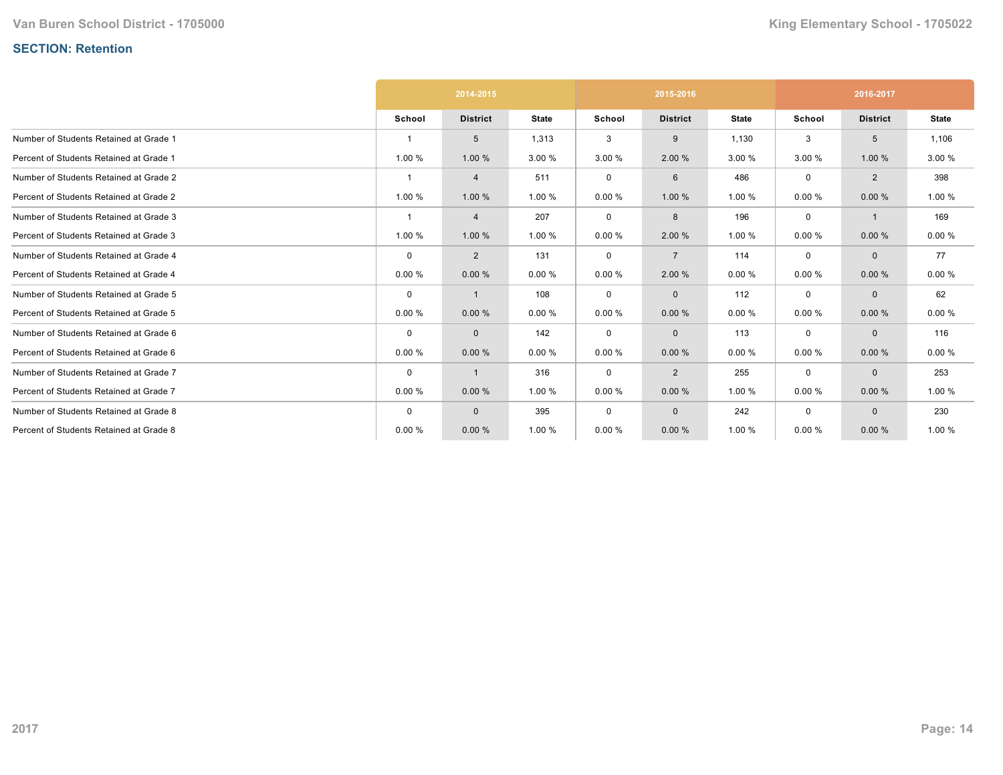# **SECTION: Retention**

|                                         | 2014-2015   |                 |              |             | 2015-2016       |              | 2016-2017   |                 |              |
|-----------------------------------------|-------------|-----------------|--------------|-------------|-----------------|--------------|-------------|-----------------|--------------|
|                                         | School      | <b>District</b> | <b>State</b> | School      | <b>District</b> | <b>State</b> | School      | <b>District</b> | <b>State</b> |
| Number of Students Retained at Grade 1  |             | 5               | 1,313        | 3           | 9               | 1,130        | 3           | 5               | 1,106        |
| Percent of Students Retained at Grade 1 | 1.00 %      | 1.00 %          | 3.00 %       | 3.00 %      | 2.00%           | 3.00 %       | 3.00 %      | 1.00 %          | 3.00 %       |
| Number of Students Retained at Grade 2  |             | 4               | 511          | $\mathbf 0$ | 6               | 486          | $\mathbf 0$ | $\overline{2}$  | 398          |
| Percent of Students Retained at Grade 2 | 1.00 %      | 1.00 %          | 1.00 %       | 0.00%       | 1.00 %          | 1.00 %       | 0.00%       | 0.00%           | 1.00 %       |
| Number of Students Retained at Grade 3  |             | 4               | 207          | 0           | 8               | 196          | 0           | $\mathbf{1}$    | 169          |
| Percent of Students Retained at Grade 3 | 1.00 %      | 1.00 %          | 1.00 %       | 0.00%       | 2.00 %          | 1.00 %       | 0.00%       | 0.00%           | 0.00%        |
| Number of Students Retained at Grade 4  | $\mathbf 0$ | $\overline{2}$  | 131          | $\mathbf 0$ | $\overline{7}$  | 114          | $\mathbf 0$ | $\mathbf{0}$    | 77           |
| Percent of Students Retained at Grade 4 | 0.00%       | 0.00%           | 0.00%        | 0.00%       | 2.00 %          | 0.00%        | 0.00%       | 0.00%           | 0.00%        |
| Number of Students Retained at Grade 5  | $\mathbf 0$ | 1               | 108          | 0           | $\mathbf 0$     | 112          | 0           | $\Omega$        | 62           |
| Percent of Students Retained at Grade 5 | 0.00%       | 0.00%           | 0.00%        | 0.00%       | 0.00%           | 0.00%        | 0.00%       | 0.00%           | 0.00%        |
| Number of Students Retained at Grade 6  | $\Omega$    | $\mathbf{0}$    | 142          | 0           | $\mathbf 0$     | 113          | $\mathbf 0$ | $\mathbf{0}$    | 116          |
| Percent of Students Retained at Grade 6 | 0.00%       | 0.00%           | 0.00%        | 0.00%       | 0.00%           | 0.00%        | 0.00%       | 0.00%           | 0.00%        |
| Number of Students Retained at Grade 7  | $\mathbf 0$ | 1               | 316          | 0           | $\overline{2}$  | 255          | $\mathbf 0$ | $\mathbf{0}$    | 253          |
| Percent of Students Retained at Grade 7 | 0.00%       | 0.00%           | 1.00 %       | 0.00%       | 0.00%           | 1.00 %       | 0.00%       | 0.00%           | 1.00 %       |
| Number of Students Retained at Grade 8  | $\Omega$    | $\mathbf{0}$    | 395          | $\mathbf 0$ | $\mathbf 0$     | 242          | $\mathbf 0$ | $\Omega$        | 230          |
| Percent of Students Retained at Grade 8 | 0.00%       | 0.00%           | 1.00 %       | 0.00%       | 0.00%           | 1.00 %       | 0.00%       | 0.00%           | 1.00 %       |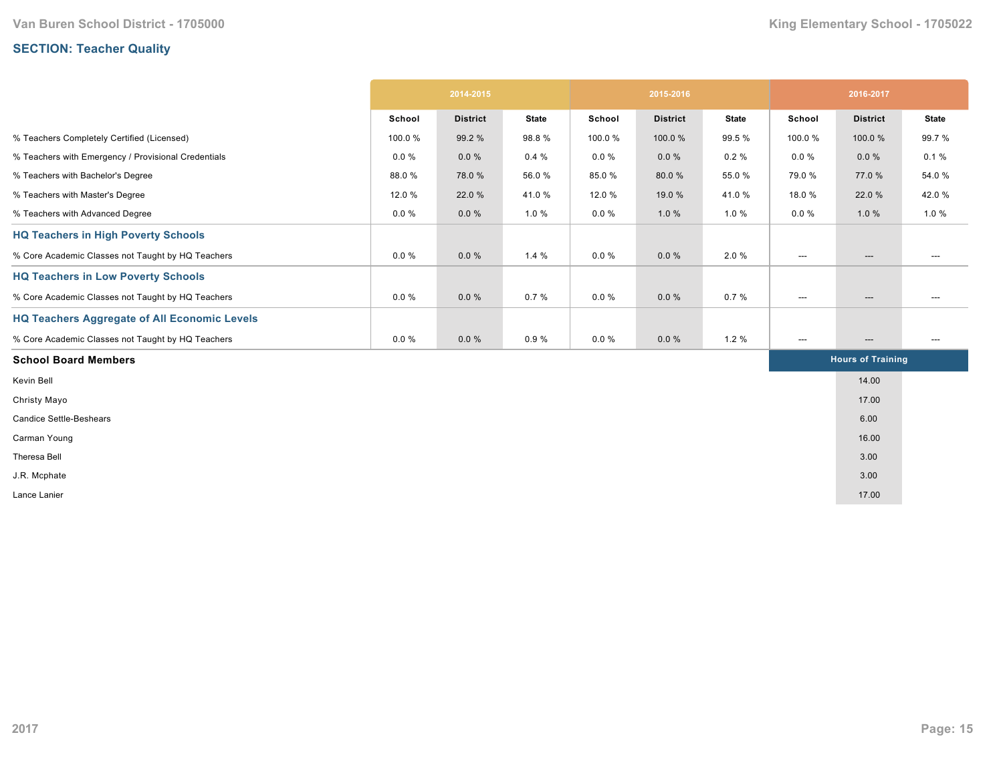# **SECTION: Teacher Quality**

|                                                     | 2014-2015 |                 |              | 2015-2016 |                 |              | 2016-2017                         |                                   |                          |
|-----------------------------------------------------|-----------|-----------------|--------------|-----------|-----------------|--------------|-----------------------------------|-----------------------------------|--------------------------|
|                                                     | School    | <b>District</b> | <b>State</b> | School    | <b>District</b> | <b>State</b> | School                            | <b>District</b>                   | <b>State</b>             |
| % Teachers Completely Certified (Licensed)          | 100.0%    | 99.2 %          | 98.8%        | 100.0%    | 100.0%          | 99.5 %       | 100.0%                            | 100.0%                            | 99.7%                    |
| % Teachers with Emergency / Provisional Credentials | $0.0 \%$  | $0.0 \%$        | 0.4%         | $0.0 \%$  | $0.0 \%$        | $0.2 \%$     | $0.0 \%$                          | $0.0 \%$                          | 0.1%                     |
| % Teachers with Bachelor's Degree                   | 88.0%     | 78.0%           | 56.0%        | 85.0%     | 80.0%           | 55.0%        | 79.0 %                            | 77.0 %                            | 54.0%                    |
| % Teachers with Master's Degree                     | 12.0 %    | 22.0 %          | 41.0%        | 12.0 %    | 19.0 %          | 41.0%        | 18.0%                             | 22.0 %                            | 42.0%                    |
| % Teachers with Advanced Degree                     | $0.0 \%$  | $0.0 \%$        | 1.0 %        | $0.0 \%$  | 1.0%            | 1.0%         | $0.0 \%$                          | 1.0%                              | 1.0%                     |
| <b>HQ Teachers in High Poverty Schools</b>          |           |                 |              |           |                 |              |                                   |                                   |                          |
| % Core Academic Classes not Taught by HQ Teachers   | $0.0 \%$  | $0.0 \%$        | 1.4%         | $0.0 \%$  | $0.0 \%$        | 2.0%         | $\hspace{0.05cm} \cdots$          | $\hspace{0.05cm} \ldots$          | ---                      |
| <b>HQ Teachers in Low Poverty Schools</b>           |           |                 |              |           |                 |              |                                   |                                   |                          |
| % Core Academic Classes not Taught by HQ Teachers   | $0.0 \%$  | $0.0 \%$        | 0.7%         | $0.0 \%$  | $0.0 \%$        | 0.7%         | $\hspace{0.05cm} \dashrightarrow$ | $\hspace{0.05cm} \dashrightarrow$ | ---                      |
| <b>HQ Teachers Aggregate of All Economic Levels</b> |           |                 |              |           |                 |              |                                   |                                   |                          |
| % Core Academic Classes not Taught by HQ Teachers   | $0.0 \%$  | 0.0%            | 0.9%         | $0.0 \%$  | $0.0 \%$        | 1.2%         | $\hspace{0.05cm} \ldots$          | $\hspace{0.05cm} \ldots$          | $\hspace{0.05cm} \ldots$ |
| <b>School Board Members</b>                         |           |                 |              |           |                 |              |                                   | <b>Hours of Training</b>          |                          |
| Kevin Bell                                          |           |                 |              |           |                 |              |                                   | 14.00                             |                          |
| Christy Mayo                                        |           |                 |              |           |                 |              |                                   | 17.00                             |                          |
| <b>Candice Settle-Beshears</b>                      |           |                 |              |           |                 |              |                                   | 6.00                              |                          |
| Carman Young                                        |           |                 |              |           |                 |              |                                   | 16.00                             |                          |
| Theresa Bell                                        |           |                 |              |           |                 |              |                                   | 3.00                              |                          |
| J.R. Mcphate                                        |           |                 |              |           |                 |              |                                   | 3.00                              |                          |
| Lance Lanier                                        |           |                 |              |           |                 |              |                                   | 17.00                             |                          |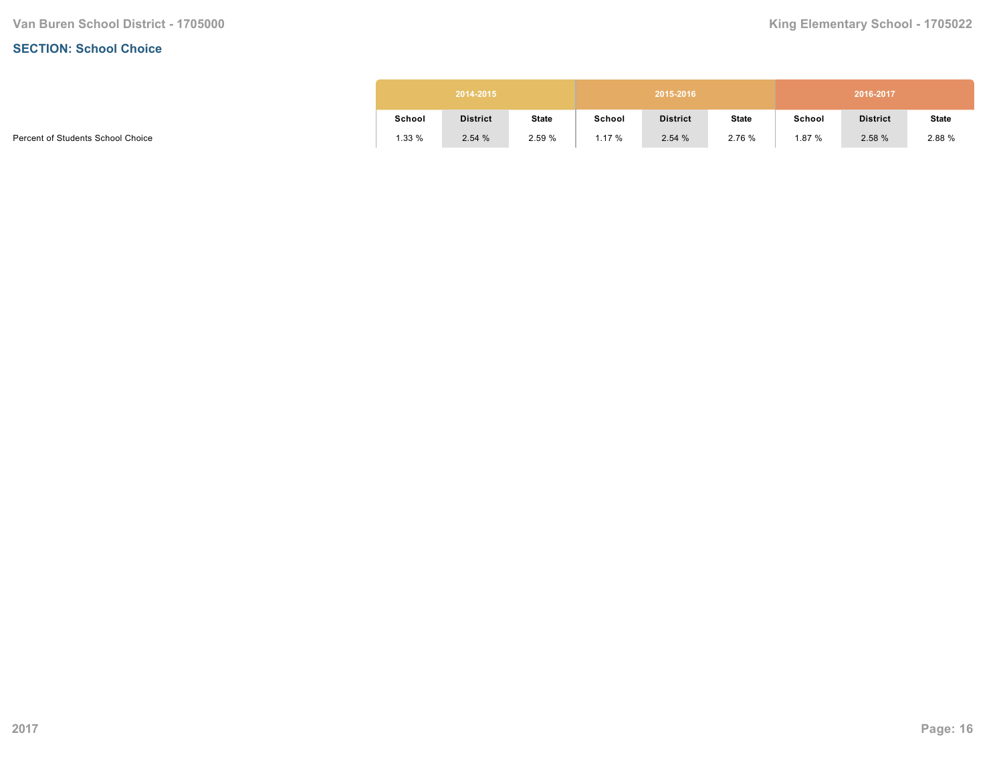#### **SECTION: School Choice**

|        | 2014-2015       |              |        | 2015-2016       |              |        | 2016-2017       |              |
|--------|-----------------|--------------|--------|-----------------|--------------|--------|-----------------|--------------|
| School | <b>District</b> | <b>State</b> | School | <b>District</b> | <b>State</b> | School | <b>District</b> | <b>State</b> |
| 1.33%  | 2.54%           | 2.59%        | 1.17%  | 2.54%           | 2.76 %       | 1.87 % | 2.58 %          | 2.88 %       |

Percent of Students School Choice